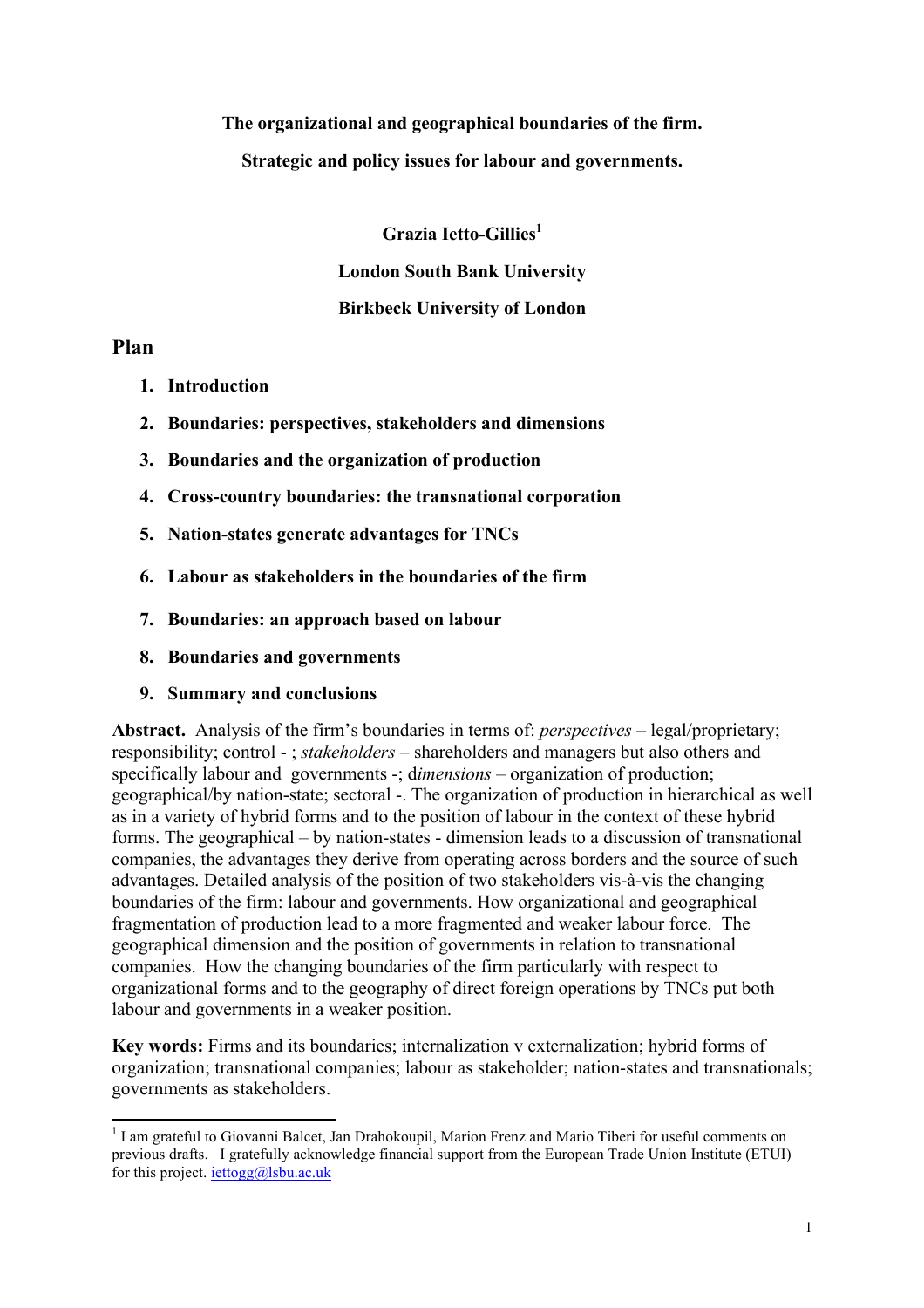# **The organizational and geographical boundaries of the firm.**

**Strategic and policy issues for labour and governments.**

**Grazia Ietto-Gillies1 London South Bank University Birkbeck University of London**

# **Plan**

- **1. Introduction**
- **2. Boundaries: perspectives, stakeholders and dimensions**
- **3. Boundaries and the organization of production**
- **4. Cross-country boundaries: the transnational corporation**
- **5. Nation-states generate advantages for TNCs**
- **6. Labour as stakeholders in the boundaries of the firm**
- **7. Boundaries: an approach based on labour**
- **8. Boundaries and governments**
- **9. Summary and conclusions**

 

**Abstract.** Analysis of the firm's boundaries in terms of: *perspectives* – legal/proprietary; responsibility; control - ; *stakeholders* – shareholders and managers but also others and specifically labour and governments -; d*imensions* – organization of production; geographical/by nation-state; sectoral -. The organization of production in hierarchical as well as in a variety of hybrid forms and to the position of labour in the context of these hybrid forms. The geographical – by nation-states - dimension leads to a discussion of transnational companies, the advantages they derive from operating across borders and the source of such advantages. Detailed analysis of the position of two stakeholders vis-à-vis the changing boundaries of the firm: labour and governments. How organizational and geographical fragmentation of production lead to a more fragmented and weaker labour force. The geographical dimension and the position of governments in relation to transnational companies. How the changing boundaries of the firm particularly with respect to organizational forms and to the geography of direct foreign operations by TNCs put both labour and governments in a weaker position.

**Key words:** Firms and its boundaries; internalization v externalization; hybrid forms of organization; transnational companies; labour as stakeholder; nation-states and transnationals; governments as stakeholders.

<sup>&</sup>lt;sup>1</sup> I am grateful to Giovanni Balcet, Jan Drahokoupil, Marion Frenz and Mario Tiberi for useful comments on previous drafts. I gratefully acknowledge financial support from the European Trade Union Institute (ETUI) for this project.  $iettog@lsbu.ac.uk$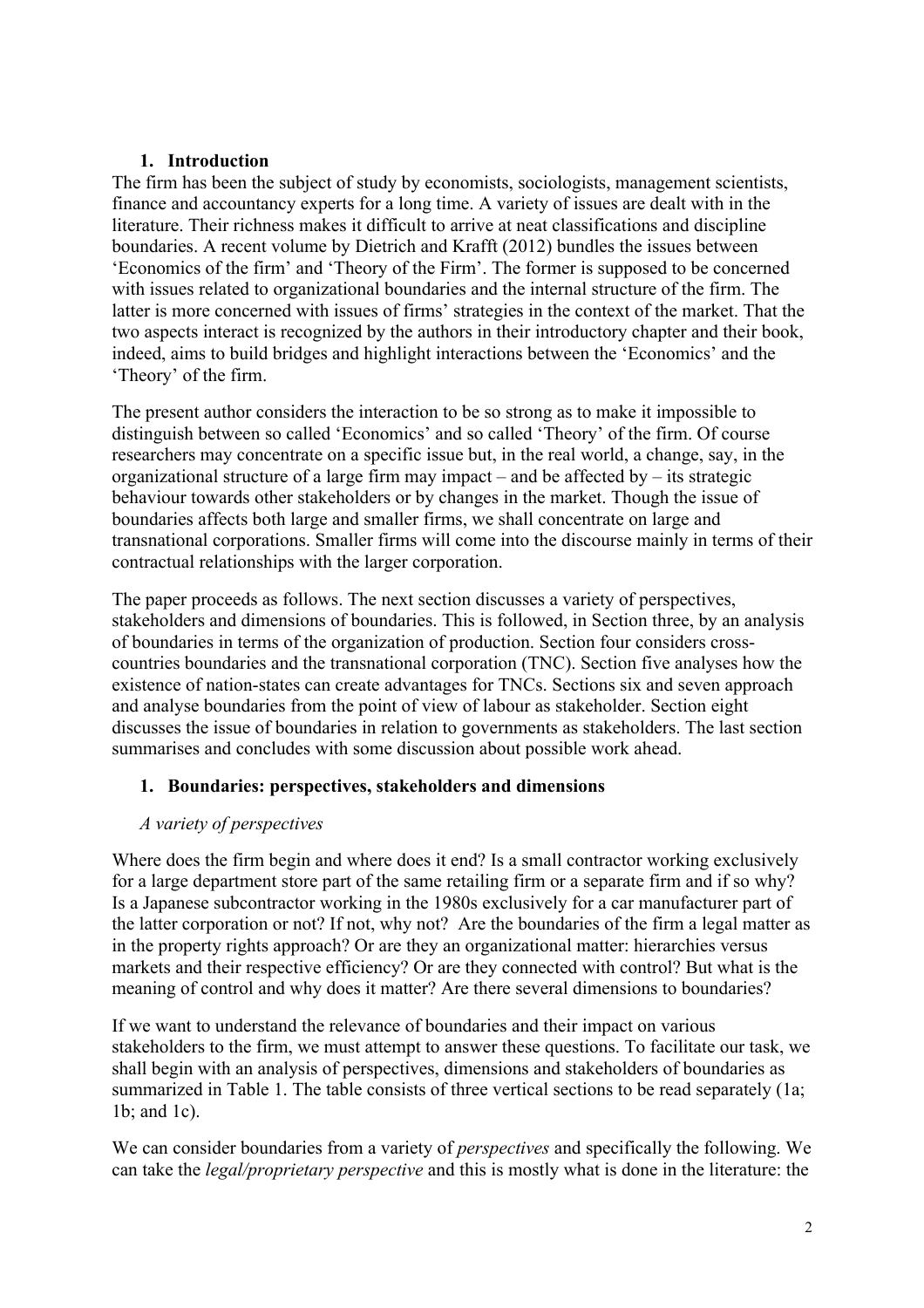## **1. Introduction**

The firm has been the subject of study by economists, sociologists, management scientists, finance and accountancy experts for a long time. A variety of issues are dealt with in the literature. Their richness makes it difficult to arrive at neat classifications and discipline boundaries. A recent volume by Dietrich and Krafft (2012) bundles the issues between 'Economics of the firm' and 'Theory of the Firm'. The former is supposed to be concerned with issues related to organizational boundaries and the internal structure of the firm. The latter is more concerned with issues of firms' strategies in the context of the market. That the two aspects interact is recognized by the authors in their introductory chapter and their book, indeed, aims to build bridges and highlight interactions between the 'Economics' and the 'Theory' of the firm.

The present author considers the interaction to be so strong as to make it impossible to distinguish between so called 'Economics' and so called 'Theory' of the firm. Of course researchers may concentrate on a specific issue but, in the real world, a change, say, in the organizational structure of a large firm may impact – and be affected by – its strategic behaviour towards other stakeholders or by changes in the market. Though the issue of boundaries affects both large and smaller firms, we shall concentrate on large and transnational corporations. Smaller firms will come into the discourse mainly in terms of their contractual relationships with the larger corporation.

The paper proceeds as follows. The next section discusses a variety of perspectives, stakeholders and dimensions of boundaries. This is followed, in Section three, by an analysis of boundaries in terms of the organization of production. Section four considers crosscountries boundaries and the transnational corporation (TNC). Section five analyses how the existence of nation-states can create advantages for TNCs. Sections six and seven approach and analyse boundaries from the point of view of labour as stakeholder. Section eight discusses the issue of boundaries in relation to governments as stakeholders. The last section summarises and concludes with some discussion about possible work ahead.

## **1. Boundaries: perspectives, stakeholders and dimensions**

# *A variety of perspectives*

Where does the firm begin and where does it end? Is a small contractor working exclusively for a large department store part of the same retailing firm or a separate firm and if so why? Is a Japanese subcontractor working in the 1980s exclusively for a car manufacturer part of the latter corporation or not? If not, why not? Are the boundaries of the firm a legal matter as in the property rights approach? Or are they an organizational matter: hierarchies versus markets and their respective efficiency? Or are they connected with control? But what is the meaning of control and why does it matter? Are there several dimensions to boundaries?

If we want to understand the relevance of boundaries and their impact on various stakeholders to the firm, we must attempt to answer these questions. To facilitate our task, we shall begin with an analysis of perspectives, dimensions and stakeholders of boundaries as summarized in Table 1. The table consists of three vertical sections to be read separately (1a; 1b; and 1c).

We can consider boundaries from a variety of *perspectives* and specifically the following. We can take the *legal/proprietary perspective* and this is mostly what is done in the literature: the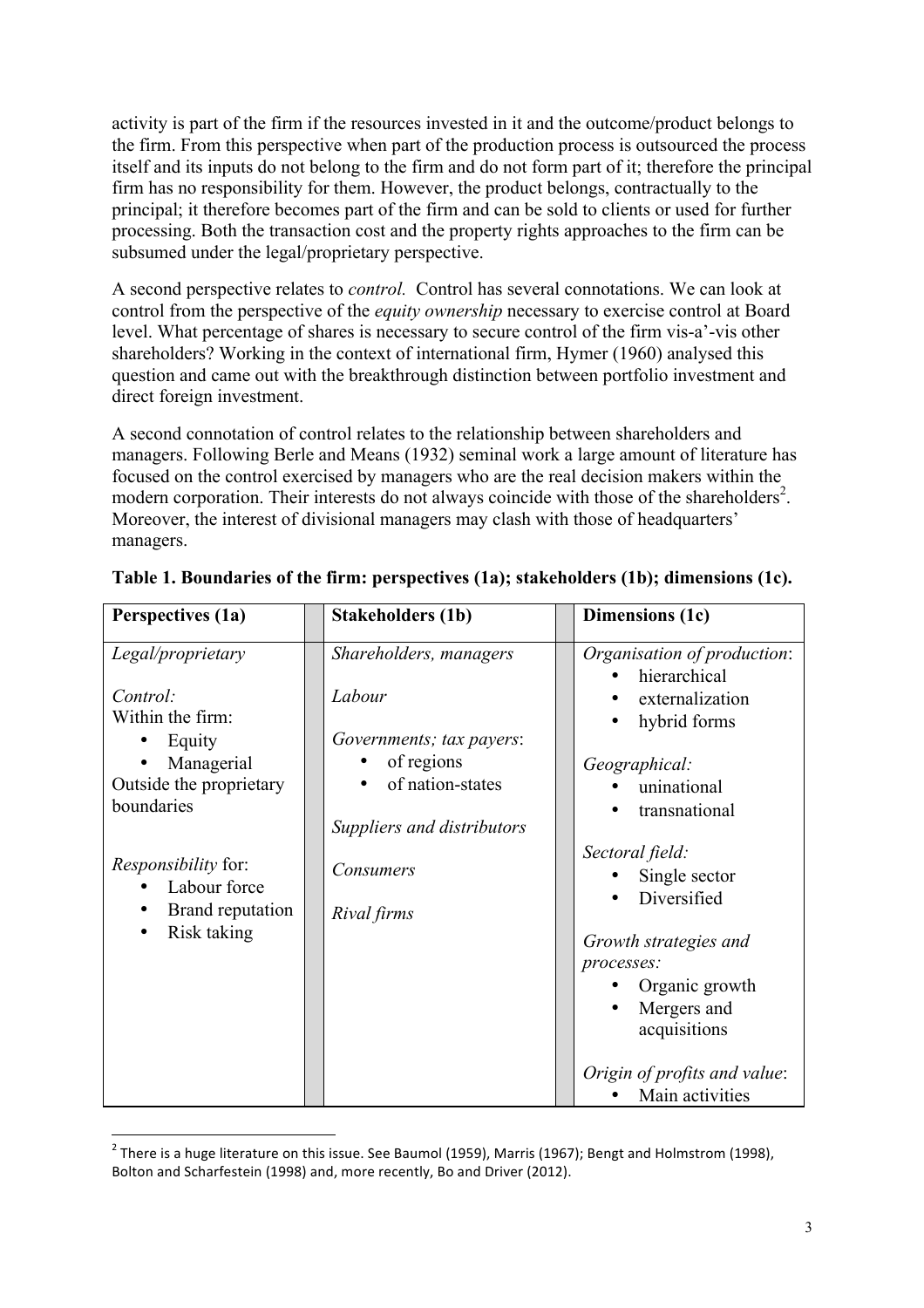activity is part of the firm if the resources invested in it and the outcome/product belongs to the firm. From this perspective when part of the production process is outsourced the process itself and its inputs do not belong to the firm and do not form part of it; therefore the principal firm has no responsibility for them. However, the product belongs, contractually to the principal; it therefore becomes part of the firm and can be sold to clients or used for further processing. Both the transaction cost and the property rights approaches to the firm can be subsumed under the legal/proprietary perspective.

A second perspective relates to *control.* Control has several connotations. We can look at control from the perspective of the *equity ownership* necessary to exercise control at Board level. What percentage of shares is necessary to secure control of the firm vis-a'-vis other shareholders? Working in the context of international firm, Hymer (1960) analysed this question and came out with the breakthrough distinction between portfolio investment and direct foreign investment.

A second connotation of control relates to the relationship between shareholders and managers. Following Berle and Means (1932) seminal work a large amount of literature has focused on the control exercised by managers who are the real decision makers within the modern corporation. Their interests do not always coincide with those of the shareholders<sup>2</sup>. Moreover, the interest of divisional managers may clash with those of headquarters' managers.

| Perspectives (1a)                                                                             | <b>Stakeholders (1b)</b>                                             |  | Dimensions (1c)                                                                                                                                                                                                                                                                |  |
|-----------------------------------------------------------------------------------------------|----------------------------------------------------------------------|--|--------------------------------------------------------------------------------------------------------------------------------------------------------------------------------------------------------------------------------------------------------------------------------|--|
| Legal/proprietary                                                                             | Shareholders, managers                                               |  | Organisation of production:<br>hierarchical                                                                                                                                                                                                                                    |  |
| Control:<br>Within the firm:<br>Equity<br>Managerial<br>Outside the proprietary<br>boundaries | Labour<br>Governments; tax payers:<br>of regions<br>of nation-states |  | externalization<br>hybrid forms<br>Geographical:<br>uninational<br>transnational<br>Sectoral field:<br>Single sector<br>Diversified<br>Growth strategies and<br>processes:<br>Organic growth<br>Mergers and<br>acquisitions<br>Origin of profits and value:<br>Main activities |  |
| <i>Responsibility</i> for:<br>Labour force<br>Brand reputation<br>Risk taking                 | Suppliers and distributors<br>Consumers<br>Rival firms               |  |                                                                                                                                                                                                                                                                                |  |

# **Table 1. Boundaries of the firm: perspectives (1a); stakeholders (1b); dimensions (1c).**

<u> 1989 - Johann Stein, fransk politiker (d. 1989)</u>

 $2$  There is a huge literature on this issue. See Baumol (1959), Marris (1967); Bengt and Holmstrom (1998), Bolton and Scharfestein (1998) and, more recently, Bo and Driver (2012).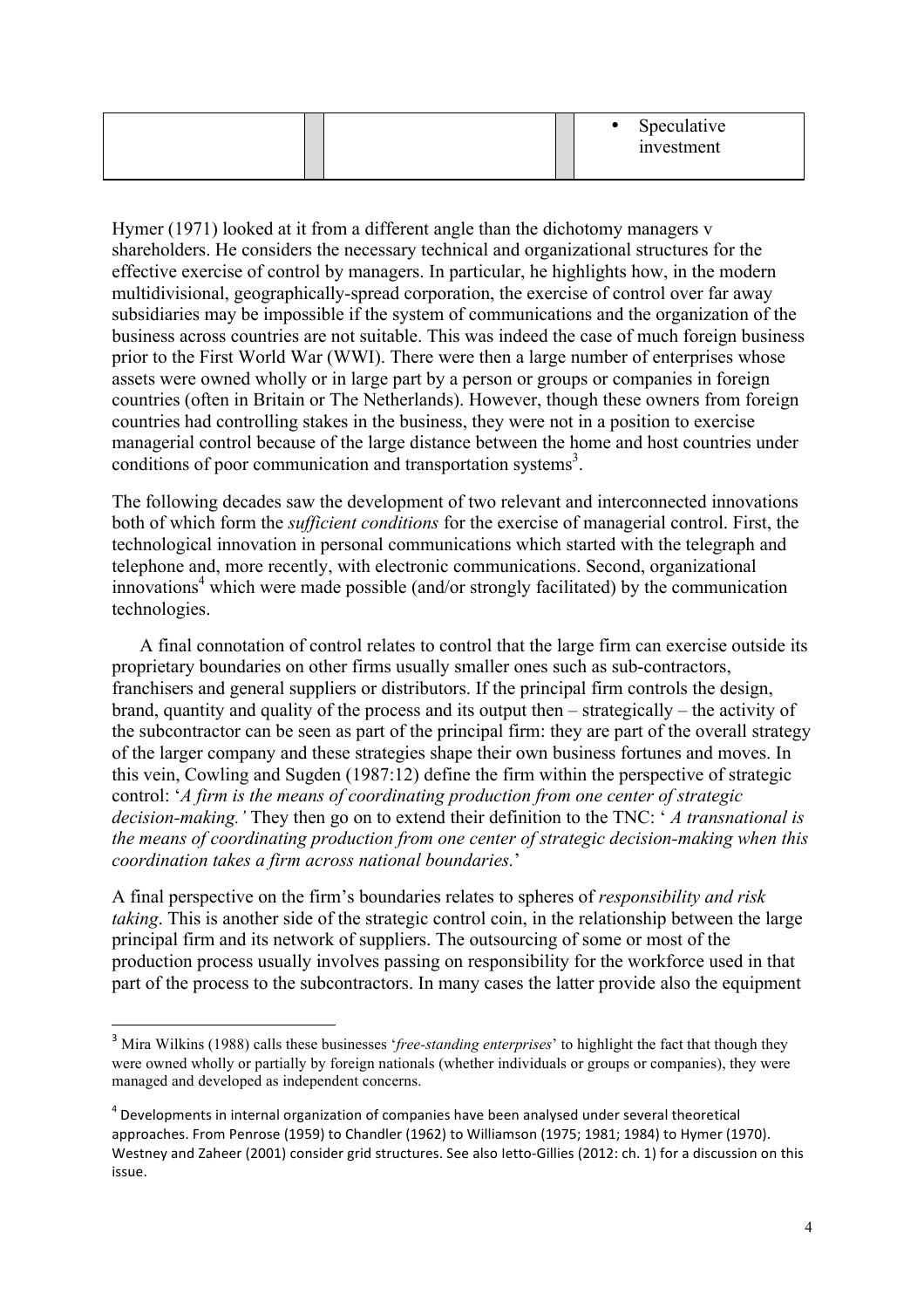|  |  | Speculative<br>investment |
|--|--|---------------------------|
|  |  |                           |

Hymer (1971) looked at it from a different angle than the dichotomy managers v shareholders. He considers the necessary technical and organizational structures for the effective exercise of control by managers. In particular, he highlights how, in the modern multidivisional, geographically-spread corporation, the exercise of control over far away subsidiaries may be impossible if the system of communications and the organization of the business across countries are not suitable. This was indeed the case of much foreign business prior to the First World War (WWI). There were then a large number of enterprises whose assets were owned wholly or in large part by a person or groups or companies in foreign countries (often in Britain or The Netherlands). However, though these owners from foreign countries had controlling stakes in the business, they were not in a position to exercise managerial control because of the large distance between the home and host countries under conditions of poor communication and transportation systems<sup>3</sup>.

The following decades saw the development of two relevant and interconnected innovations both of which form the *sufficient conditions* for the exercise of managerial control. First, the technological innovation in personal communications which started with the telegraph and telephone and, more recently, with electronic communications. Second, organizational  $innovations<sup>4</sup>$  which were made possible (and/or strongly facilitated) by the communication technologies.

A final connotation of control relates to control that the large firm can exercise outside its proprietary boundaries on other firms usually smaller ones such as sub-contractors, franchisers and general suppliers or distributors. If the principal firm controls the design, brand, quantity and quality of the process and its output then – strategically – the activity of the subcontractor can be seen as part of the principal firm: they are part of the overall strategy of the larger company and these strategies shape their own business fortunes and moves. In this vein, Cowling and Sugden (1987:12) define the firm within the perspective of strategic control: '*A firm is the means of coordinating production from one center of strategic decision-making.'* They then go on to extend their definition to the TNC: ' *A transnational is the means of coordinating production from one center of strategic decision-making when this coordination takes a firm across national boundaries.*'

A final perspective on the firm's boundaries relates to spheres of *responsibility and risk taking*. This is another side of the strategic control coin, in the relationship between the large principal firm and its network of suppliers. The outsourcing of some or most of the production process usually involves passing on responsibility for the workforce used in that part of the process to the subcontractors. In many cases the latter provide also the equipment

<u> 1989 - Johann Stein, fransk politiker (d. 1989)</u>

<sup>&</sup>lt;sup>3</sup> Mira Wilkins (1988) calls these businesses '*free-standing enterprises*' to highlight the fact that though they were owned wholly or partially by foreign nationals (whether individuals or groups or companies), they were managed and developed as independent concerns.

 $4$  Developments in internal organization of companies have been analysed under several theoretical approaches. From Penrose (1959) to Chandler (1962) to Williamson (1975; 1981; 1984) to Hymer (1970). Westney and Zaheer (2001) consider grid structures. See also letto-Gillies (2012: ch. 1) for a discussion on this issue.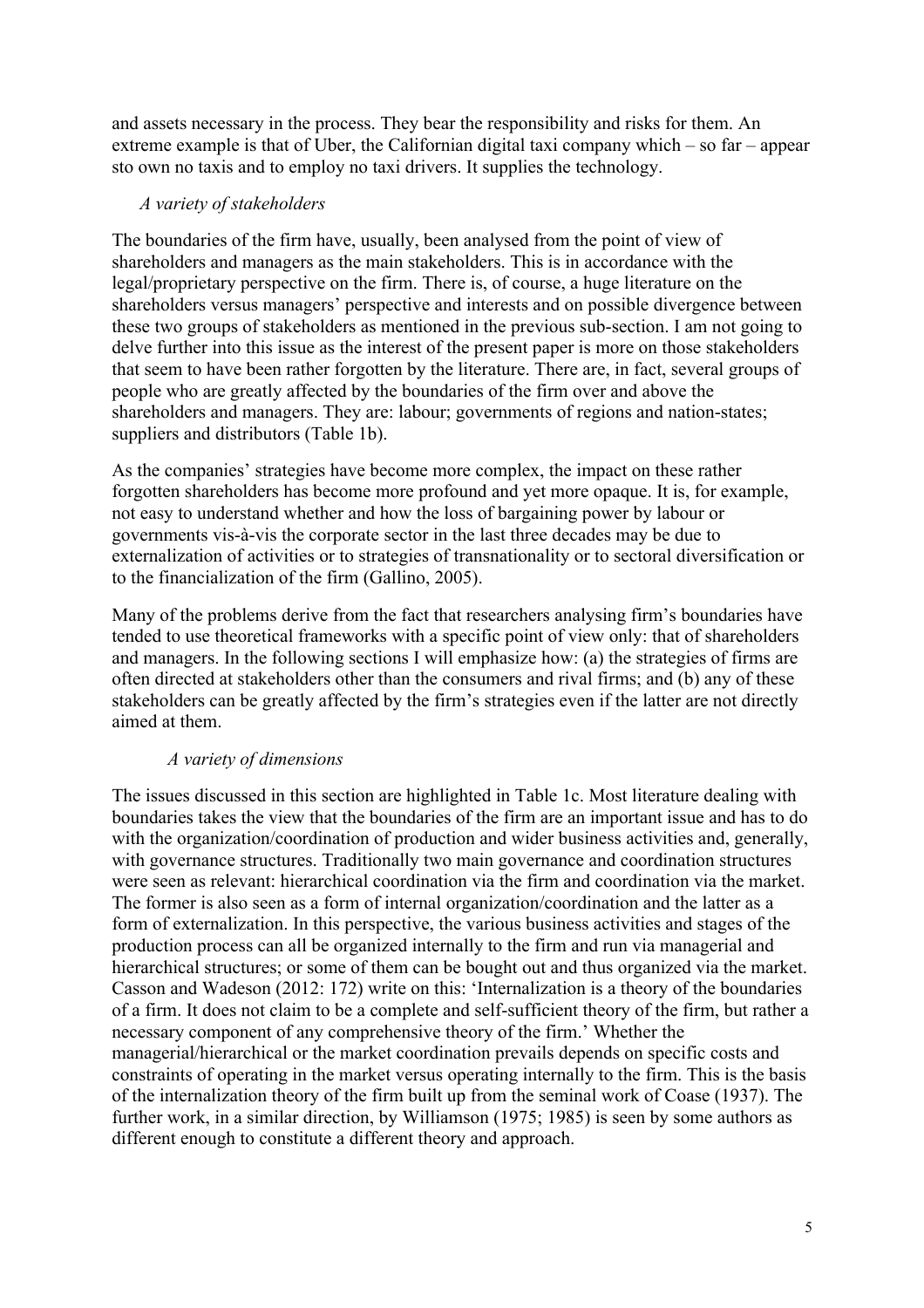and assets necessary in the process. They bear the responsibility and risks for them. An extreme example is that of Uber, the Californian digital taxi company which – so far – appear sto own no taxis and to employ no taxi drivers. It supplies the technology.

#### *A variety of stakeholders*

The boundaries of the firm have, usually, been analysed from the point of view of shareholders and managers as the main stakeholders. This is in accordance with the legal/proprietary perspective on the firm. There is, of course, a huge literature on the shareholders versus managers' perspective and interests and on possible divergence between these two groups of stakeholders as mentioned in the previous sub-section. I am not going to delve further into this issue as the interest of the present paper is more on those stakeholders that seem to have been rather forgotten by the literature. There are, in fact, several groups of people who are greatly affected by the boundaries of the firm over and above the shareholders and managers. They are: labour; governments of regions and nation-states; suppliers and distributors (Table 1b).

As the companies' strategies have become more complex, the impact on these rather forgotten shareholders has become more profound and yet more opaque. It is, for example, not easy to understand whether and how the loss of bargaining power by labour or governments vis-à-vis the corporate sector in the last three decades may be due to externalization of activities or to strategies of transnationality or to sectoral diversification or to the financialization of the firm (Gallino, 2005).

Many of the problems derive from the fact that researchers analysing firm's boundaries have tended to use theoretical frameworks with a specific point of view only: that of shareholders and managers. In the following sections I will emphasize how: (a) the strategies of firms are often directed at stakeholders other than the consumers and rival firms; and (b) any of these stakeholders can be greatly affected by the firm's strategies even if the latter are not directly aimed at them.

### *A variety of dimensions*

The issues discussed in this section are highlighted in Table 1c. Most literature dealing with boundaries takes the view that the boundaries of the firm are an important issue and has to do with the organization/coordination of production and wider business activities and, generally, with governance structures. Traditionally two main governance and coordination structures were seen as relevant: hierarchical coordination via the firm and coordination via the market. The former is also seen as a form of internal organization/coordination and the latter as a form of externalization. In this perspective, the various business activities and stages of the production process can all be organized internally to the firm and run via managerial and hierarchical structures; or some of them can be bought out and thus organized via the market. Casson and Wadeson (2012: 172) write on this: 'Internalization is a theory of the boundaries of a firm. It does not claim to be a complete and self-sufficient theory of the firm, but rather a necessary component of any comprehensive theory of the firm.' Whether the managerial/hierarchical or the market coordination prevails depends on specific costs and constraints of operating in the market versus operating internally to the firm. This is the basis of the internalization theory of the firm built up from the seminal work of Coase (1937). The further work, in a similar direction, by Williamson (1975; 1985) is seen by some authors as different enough to constitute a different theory and approach.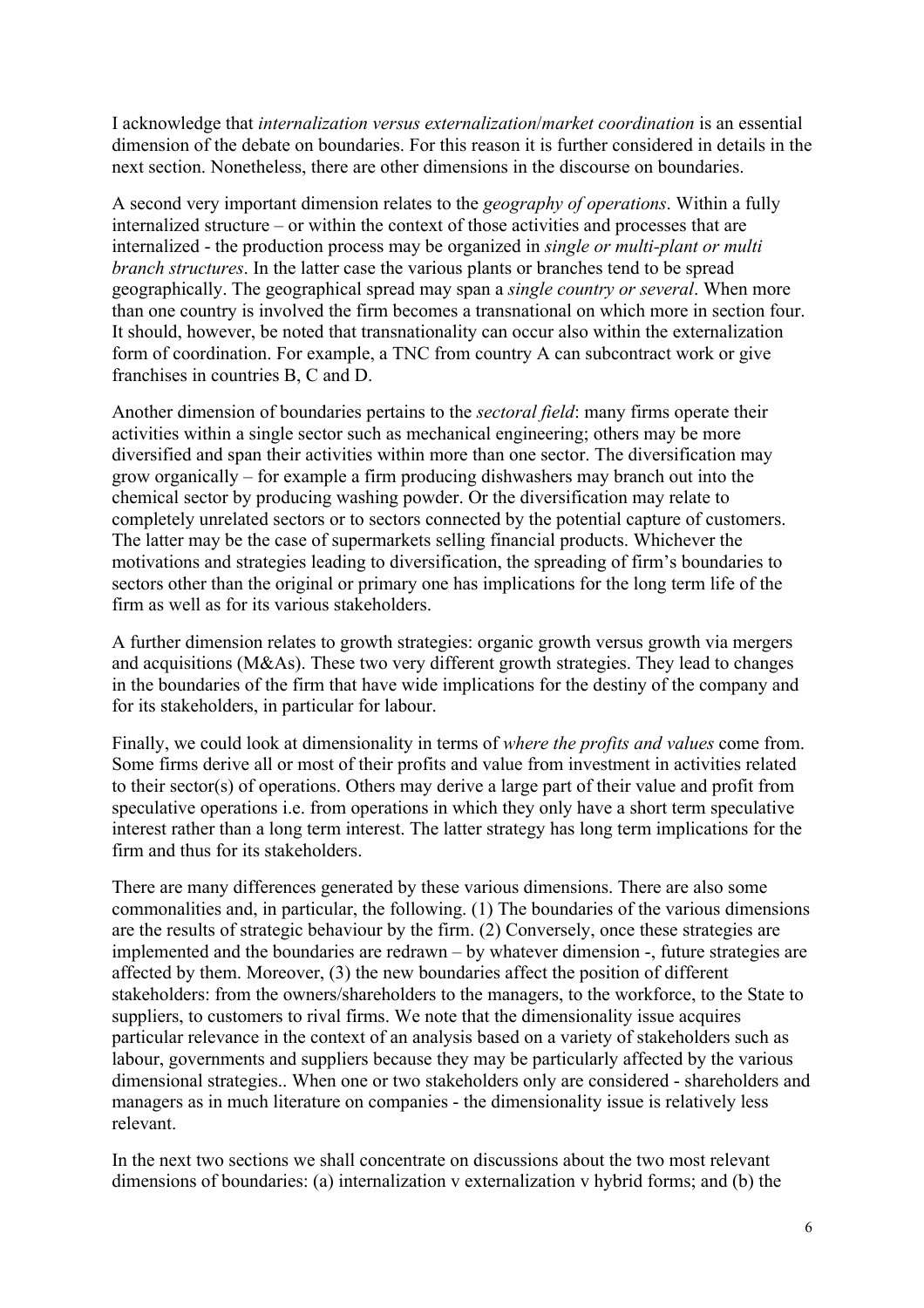I acknowledge that *internalization versus externalization*/*market coordination* is an essential dimension of the debate on boundaries. For this reason it is further considered in details in the next section. Nonetheless, there are other dimensions in the discourse on boundaries.

A second very important dimension relates to the *geography of operations*. Within a fully internalized structure – or within the context of those activities and processes that are internalized - the production process may be organized in *single or multi-plant or multi branch structures*. In the latter case the various plants or branches tend to be spread geographically. The geographical spread may span a *single country or several*. When more than one country is involved the firm becomes a transnational on which more in section four. It should, however, be noted that transnationality can occur also within the externalization form of coordination. For example, a TNC from country A can subcontract work or give franchises in countries B, C and D.

Another dimension of boundaries pertains to the *sectoral field*: many firms operate their activities within a single sector such as mechanical engineering; others may be more diversified and span their activities within more than one sector. The diversification may grow organically – for example a firm producing dishwashers may branch out into the chemical sector by producing washing powder. Or the diversification may relate to completely unrelated sectors or to sectors connected by the potential capture of customers. The latter may be the case of supermarkets selling financial products. Whichever the motivations and strategies leading to diversification, the spreading of firm's boundaries to sectors other than the original or primary one has implications for the long term life of the firm as well as for its various stakeholders.

A further dimension relates to growth strategies: organic growth versus growth via mergers and acquisitions (M&As). These two very different growth strategies. They lead to changes in the boundaries of the firm that have wide implications for the destiny of the company and for its stakeholders, in particular for labour.

Finally, we could look at dimensionality in terms of *where the profits and values* come from. Some firms derive all or most of their profits and value from investment in activities related to their sector(s) of operations. Others may derive a large part of their value and profit from speculative operations i.e. from operations in which they only have a short term speculative interest rather than a long term interest. The latter strategy has long term implications for the firm and thus for its stakeholders.

There are many differences generated by these various dimensions. There are also some commonalities and, in particular, the following. (1) The boundaries of the various dimensions are the results of strategic behaviour by the firm. (2) Conversely, once these strategies are implemented and the boundaries are redrawn – by whatever dimension -, future strategies are affected by them. Moreover, (3) the new boundaries affect the position of different stakeholders: from the owners/shareholders to the managers, to the workforce, to the State to suppliers, to customers to rival firms. We note that the dimensionality issue acquires particular relevance in the context of an analysis based on a variety of stakeholders such as labour, governments and suppliers because they may be particularly affected by the various dimensional strategies.. When one or two stakeholders only are considered - shareholders and managers as in much literature on companies - the dimensionality issue is relatively less relevant.

In the next two sections we shall concentrate on discussions about the two most relevant dimensions of boundaries: (a) internalization v externalization v hybrid forms; and (b) the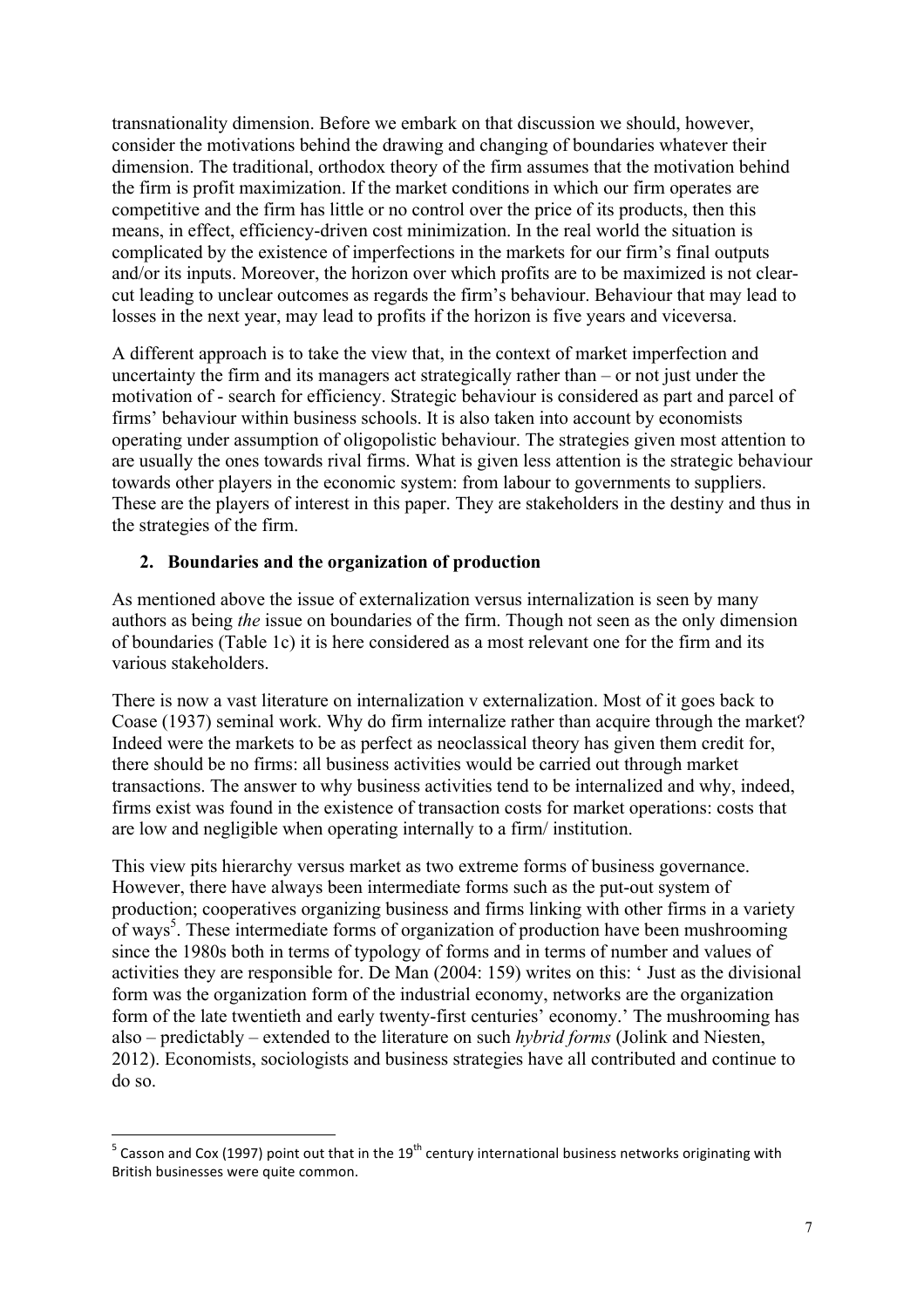transnationality dimension. Before we embark on that discussion we should, however, consider the motivations behind the drawing and changing of boundaries whatever their dimension. The traditional, orthodox theory of the firm assumes that the motivation behind the firm is profit maximization. If the market conditions in which our firm operates are competitive and the firm has little or no control over the price of its products, then this means, in effect, efficiency-driven cost minimization. In the real world the situation is complicated by the existence of imperfections in the markets for our firm's final outputs and/or its inputs. Moreover, the horizon over which profits are to be maximized is not clearcut leading to unclear outcomes as regards the firm's behaviour. Behaviour that may lead to losses in the next year, may lead to profits if the horizon is five years and viceversa.

A different approach is to take the view that, in the context of market imperfection and uncertainty the firm and its managers act strategically rather than – or not just under the motivation of - search for efficiency. Strategic behaviour is considered as part and parcel of firms' behaviour within business schools. It is also taken into account by economists operating under assumption of oligopolistic behaviour. The strategies given most attention to are usually the ones towards rival firms. What is given less attention is the strategic behaviour towards other players in the economic system: from labour to governments to suppliers. These are the players of interest in this paper. They are stakeholders in the destiny and thus in the strategies of the firm.

# **2. Boundaries and the organization of production**

As mentioned above the issue of externalization versus internalization is seen by many authors as being *the* issue on boundaries of the firm. Though not seen as the only dimension of boundaries (Table 1c) it is here considered as a most relevant one for the firm and its various stakeholders.

There is now a vast literature on internalization v externalization. Most of it goes back to Coase (1937) seminal work. Why do firm internalize rather than acquire through the market? Indeed were the markets to be as perfect as neoclassical theory has given them credit for, there should be no firms: all business activities would be carried out through market transactions. The answer to why business activities tend to be internalized and why, indeed, firms exist was found in the existence of transaction costs for market operations: costs that are low and negligible when operating internally to a firm/ institution.

This view pits hierarchy versus market as two extreme forms of business governance. However, there have always been intermediate forms such as the put-out system of production; cooperatives organizing business and firms linking with other firms in a variety of ways<sup>5</sup>. These intermediate forms of organization of production have been mushrooming since the 1980s both in terms of typology of forms and in terms of number and values of activities they are responsible for. De Man (2004: 159) writes on this: ' Just as the divisional form was the organization form of the industrial economy, networks are the organization form of the late twentieth and early twenty-first centuries' economy.' The mushrooming has also – predictably – extended to the literature on such *hybrid forms* (Jolink and Niesten, 2012). Economists, sociologists and business strategies have all contributed and continue to do so.

<u> 1989 - Johann Stein, fransk politiker (d. 1989)</u>

 $5$  Casson and Cox (1997) point out that in the 19<sup>th</sup> century international business networks originating with British businesses were quite common.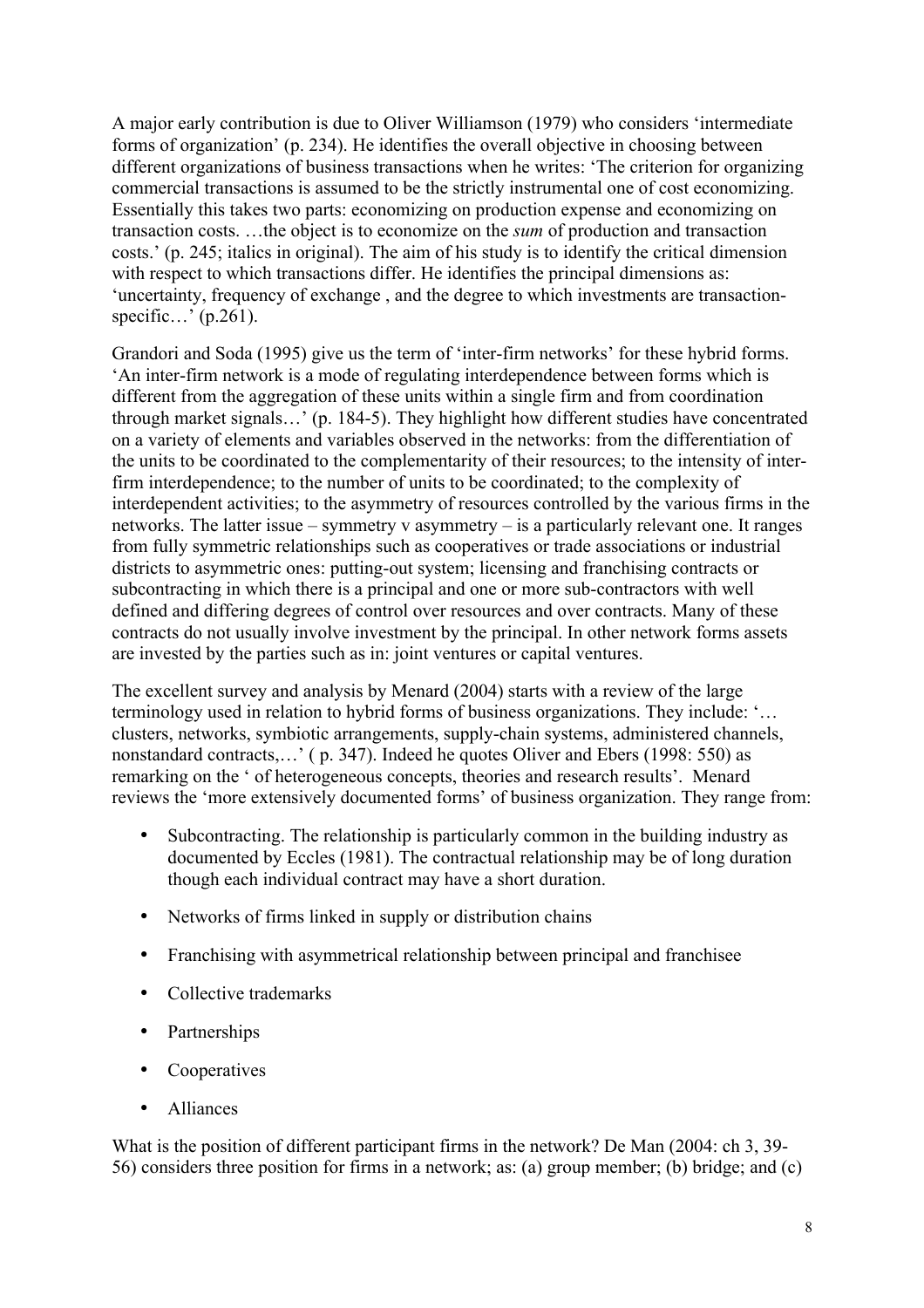A major early contribution is due to Oliver Williamson (1979) who considers 'intermediate forms of organization' (p. 234). He identifies the overall objective in choosing between different organizations of business transactions when he writes: 'The criterion for organizing commercial transactions is assumed to be the strictly instrumental one of cost economizing. Essentially this takes two parts: economizing on production expense and economizing on transaction costs. …the object is to economize on the *sum* of production and transaction costs.' (p. 245; italics in original). The aim of his study is to identify the critical dimension with respect to which transactions differ. He identifies the principal dimensions as: 'uncertainty, frequency of exchange , and the degree to which investments are transactionspecific…' (p.261).

Grandori and Soda (1995) give us the term of 'inter-firm networks' for these hybrid forms. 'An inter-firm network is a mode of regulating interdependence between forms which is different from the aggregation of these units within a single firm and from coordination through market signals…' (p. 184-5). They highlight how different studies have concentrated on a variety of elements and variables observed in the networks: from the differentiation of the units to be coordinated to the complementarity of their resources; to the intensity of interfirm interdependence; to the number of units to be coordinated; to the complexity of interdependent activities; to the asymmetry of resources controlled by the various firms in the networks. The latter issue – symmetry v asymmetry – is a particularly relevant one. It ranges from fully symmetric relationships such as cooperatives or trade associations or industrial districts to asymmetric ones: putting-out system; licensing and franchising contracts or subcontracting in which there is a principal and one or more sub-contractors with well defined and differing degrees of control over resources and over contracts. Many of these contracts do not usually involve investment by the principal. In other network forms assets are invested by the parties such as in: joint ventures or capital ventures.

The excellent survey and analysis by Menard (2004) starts with a review of the large terminology used in relation to hybrid forms of business organizations. They include: '… clusters, networks, symbiotic arrangements, supply-chain systems, administered channels, nonstandard contracts,…' ( p. 347). Indeed he quotes Oliver and Ebers (1998: 550) as remarking on the ' of heterogeneous concepts, theories and research results'. Menard reviews the 'more extensively documented forms' of business organization. They range from:

- Subcontracting. The relationship is particularly common in the building industry as documented by Eccles (1981). The contractual relationship may be of long duration though each individual contract may have a short duration.
- Networks of firms linked in supply or distribution chains
- Franchising with asymmetrical relationship between principal and franchisee
- Collective trademarks
- Partnerships
- Cooperatives
- Alliances

What is the position of different participant firms in the network? De Man (2004: ch 3, 39- 56) considers three position for firms in a network; as: (a) group member; (b) bridge; and (c)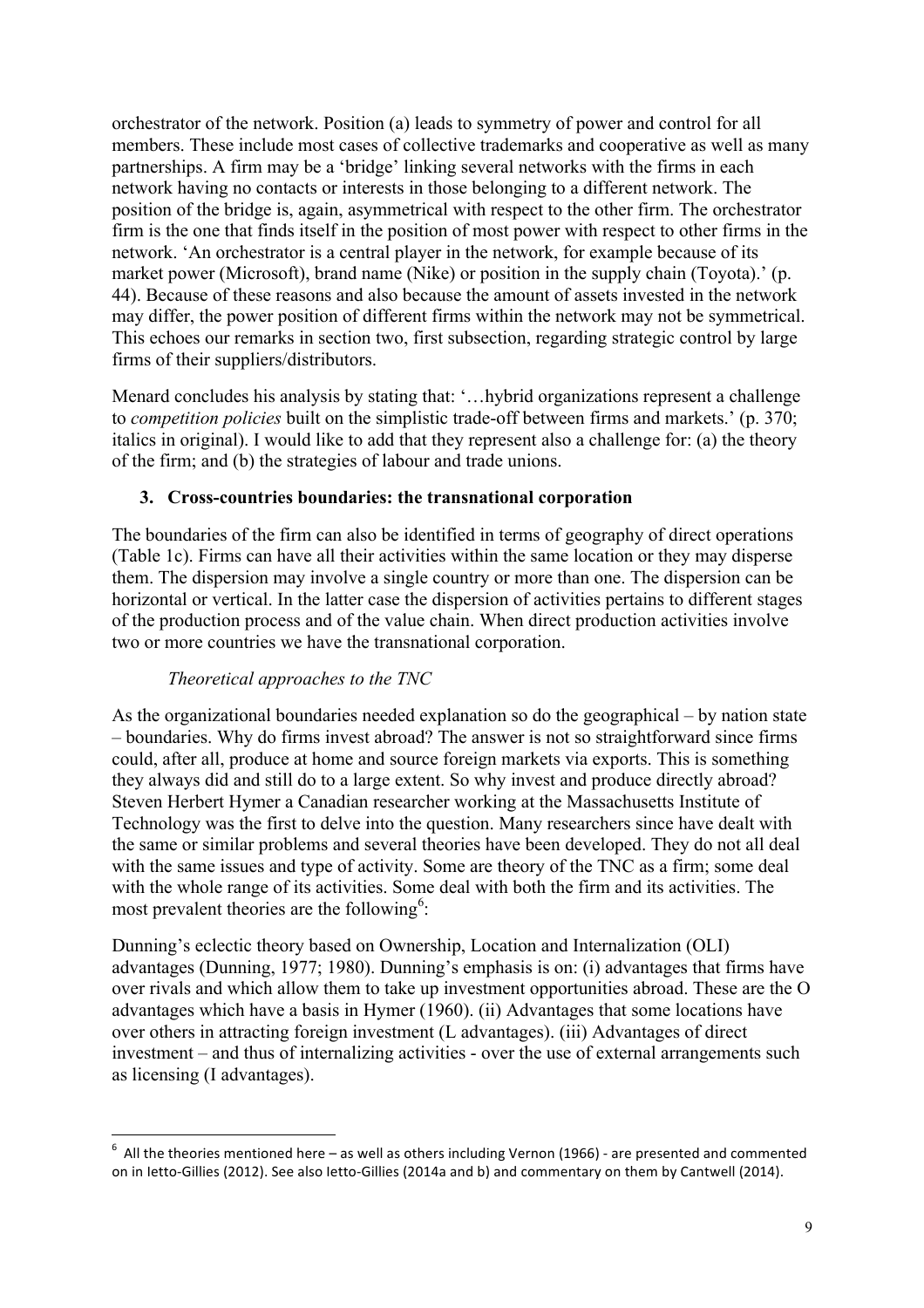orchestrator of the network. Position (a) leads to symmetry of power and control for all members. These include most cases of collective trademarks and cooperative as well as many partnerships. A firm may be a 'bridge' linking several networks with the firms in each network having no contacts or interests in those belonging to a different network. The position of the bridge is, again, asymmetrical with respect to the other firm. The orchestrator firm is the one that finds itself in the position of most power with respect to other firms in the network. 'An orchestrator is a central player in the network, for example because of its market power (Microsoft), brand name (Nike) or position in the supply chain (Toyota).' (p. 44). Because of these reasons and also because the amount of assets invested in the network may differ, the power position of different firms within the network may not be symmetrical. This echoes our remarks in section two, first subsection, regarding strategic control by large firms of their suppliers/distributors.

Menard concludes his analysis by stating that: '…hybrid organizations represent a challenge to *competition policies* built on the simplistic trade-off between firms and markets.' (p. 370; italics in original). I would like to add that they represent also a challenge for: (a) the theory of the firm; and (b) the strategies of labour and trade unions.

### **3. Cross-countries boundaries: the transnational corporation**

The boundaries of the firm can also be identified in terms of geography of direct operations (Table 1c). Firms can have all their activities within the same location or they may disperse them. The dispersion may involve a single country or more than one. The dispersion can be horizontal or vertical. In the latter case the dispersion of activities pertains to different stages of the production process and of the value chain. When direct production activities involve two or more countries we have the transnational corporation.

## *Theoretical approaches to the TNC*

<u> 1989 - Johann Stein, fransk politiker (d. 1989)</u>

As the organizational boundaries needed explanation so do the geographical – by nation state – boundaries. Why do firms invest abroad? The answer is not so straightforward since firms could, after all, produce at home and source foreign markets via exports. This is something they always did and still do to a large extent. So why invest and produce directly abroad? Steven Herbert Hymer a Canadian researcher working at the Massachusetts Institute of Technology was the first to delve into the question. Many researchers since have dealt with the same or similar problems and several theories have been developed. They do not all deal with the same issues and type of activity. Some are theory of the TNC as a firm; some deal with the whole range of its activities. Some deal with both the firm and its activities. The most prevalent theories are the following<sup>6</sup>:

Dunning's eclectic theory based on Ownership, Location and Internalization (OLI) advantages (Dunning, 1977; 1980). Dunning's emphasis is on: (i) advantages that firms have over rivals and which allow them to take up investment opportunities abroad. These are the O advantages which have a basis in Hymer (1960). (ii) Advantages that some locations have over others in attracting foreign investment (L advantages). (iii) Advantages of direct investment – and thus of internalizing activities - over the use of external arrangements such as licensing (I advantages).

 $^6$  All the theories mentioned here – as well as others including Vernon (1966) - are presented and commented on in letto-Gillies (2012). See also letto-Gillies (2014a and b) and commentary on them by Cantwell (2014).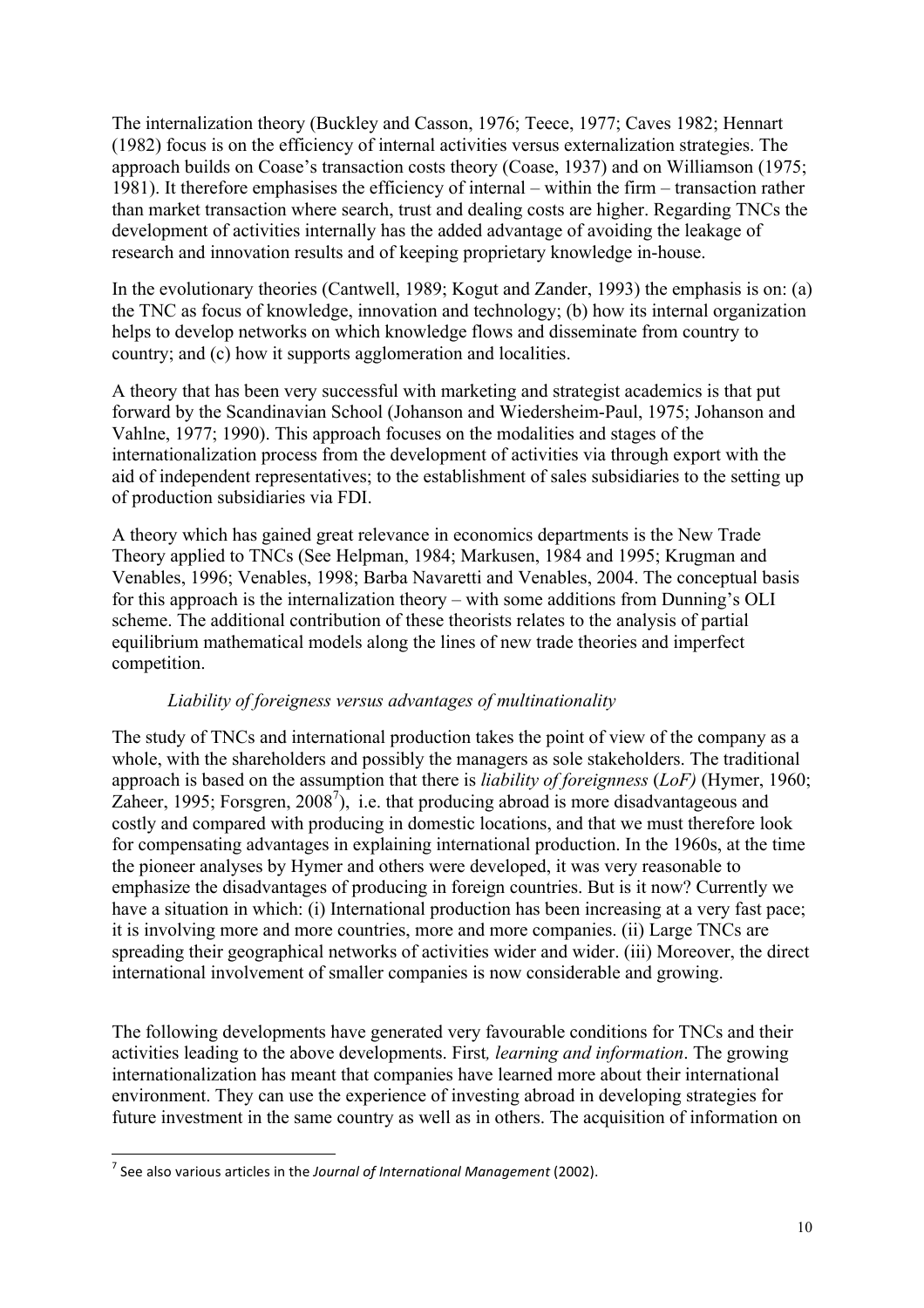The internalization theory (Buckley and Casson, 1976; Teece, 1977; Caves 1982; Hennart (1982) focus is on the efficiency of internal activities versus externalization strategies. The approach builds on Coase's transaction costs theory (Coase, 1937) and on Williamson (1975; 1981). It therefore emphasises the efficiency of internal – within the firm – transaction rather than market transaction where search, trust and dealing costs are higher. Regarding TNCs the development of activities internally has the added advantage of avoiding the leakage of research and innovation results and of keeping proprietary knowledge in-house.

In the evolutionary theories (Cantwell, 1989; Kogut and Zander, 1993) the emphasis is on: (a) the TNC as focus of knowledge, innovation and technology; (b) how its internal organization helps to develop networks on which knowledge flows and disseminate from country to country; and (c) how it supports agglomeration and localities.

A theory that has been very successful with marketing and strategist academics is that put forward by the Scandinavian School (Johanson and Wiedersheim-Paul, 1975; Johanson and Vahlne, 1977; 1990). This approach focuses on the modalities and stages of the internationalization process from the development of activities via through export with the aid of independent representatives; to the establishment of sales subsidiaries to the setting up of production subsidiaries via FDI.

A theory which has gained great relevance in economics departments is the New Trade Theory applied to TNCs (See Helpman, 1984; Markusen, 1984 and 1995; Krugman and Venables, 1996; Venables, 1998; Barba Navaretti and Venables, 2004. The conceptual basis for this approach is the internalization theory – with some additions from Dunning's OLI scheme. The additional contribution of these theorists relates to the analysis of partial equilibrium mathematical models along the lines of new trade theories and imperfect competition.

## *Liability of foreigness versus advantages of multinationality*

The study of TNCs and international production takes the point of view of the company as a whole, with the shareholders and possibly the managers as sole stakeholders. The traditional approach is based on the assumption that there is *liability of foreignness* (*LoF)* (Hymer, 1960; Zaheer, 1995; Forsgren,  $2008^7$ , i.e. that producing abroad is more disadvantageous and costly and compared with producing in domestic locations, and that we must therefore look for compensating advantages in explaining international production. In the 1960s, at the time the pioneer analyses by Hymer and others were developed, it was very reasonable to emphasize the disadvantages of producing in foreign countries. But is it now? Currently we have a situation in which: (i) International production has been increasing at a very fast pace; it is involving more and more countries, more and more companies. (ii) Large TNCs are spreading their geographical networks of activities wider and wider. (iii) Moreover, the direct international involvement of smaller companies is now considerable and growing.

The following developments have generated very favourable conditions for TNCs and their activities leading to the above developments. First*, learning and information*. The growing internationalization has meant that companies have learned more about their international environment. They can use the experience of investing abroad in developing strategies for future investment in the same country as well as in others. The acquisition of information on

<u> 1989 - Johann Stein, fransk politiker (d. 1989)</u>

<sup>&</sup>lt;sup>7</sup> See also various articles in the *Journal of International Management* (2002).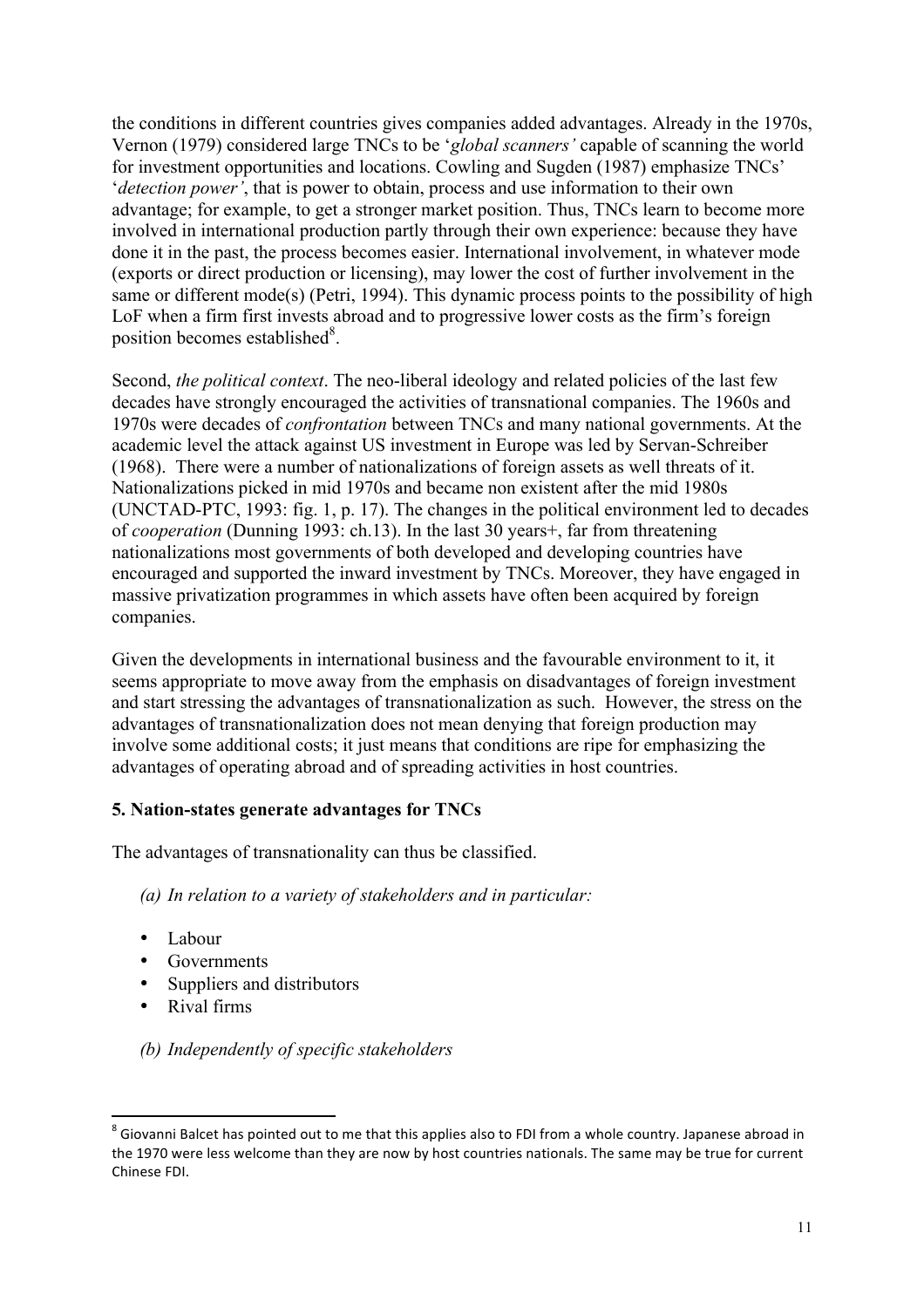the conditions in different countries gives companies added advantages. Already in the 1970s, Vernon (1979) considered large TNCs to be '*global scanners'* capable of scanning the world for investment opportunities and locations. Cowling and Sugden (1987) emphasize TNCs' '*detection power'*, that is power to obtain, process and use information to their own advantage; for example, to get a stronger market position. Thus, TNCs learn to become more involved in international production partly through their own experience: because they have done it in the past, the process becomes easier. International involvement, in whatever mode (exports or direct production or licensing), may lower the cost of further involvement in the same or different mode(s) (Petri, 1994). This dynamic process points to the possibility of high LoF when a firm first invests abroad and to progressive lower costs as the firm's foreign position becomes established $8$ .

Second, *the political context*. The neo-liberal ideology and related policies of the last few decades have strongly encouraged the activities of transnational companies. The 1960s and 1970s were decades of *confrontation* between TNCs and many national governments. At the academic level the attack against US investment in Europe was led by Servan-Schreiber (1968). There were a number of nationalizations of foreign assets as well threats of it. Nationalizations picked in mid 1970s and became non existent after the mid 1980s (UNCTAD-PTC, 1993: fig. 1, p. 17). The changes in the political environment led to decades of *cooperation* (Dunning 1993: ch.13). In the last 30 years+, far from threatening nationalizations most governments of both developed and developing countries have encouraged and supported the inward investment by TNCs. Moreover, they have engaged in massive privatization programmes in which assets have often been acquired by foreign companies.

Given the developments in international business and the favourable environment to it, it seems appropriate to move away from the emphasis on disadvantages of foreign investment and start stressing the advantages of transnationalization as such. However, the stress on the advantages of transnationalization does not mean denying that foreign production may involve some additional costs; it just means that conditions are ripe for emphasizing the advantages of operating abroad and of spreading activities in host countries.

## **5. Nation-states generate advantages for TNCs**

The advantages of transnationality can thus be classified.

*(a) In relation to a variety of stakeholders and in particular:*

- Labour
- **Governments**
- Suppliers and distributors
- Rival firms

<u> 1989 - Johann Stein, fransk politiker (d. 1989)</u>

*(b) Independently of specific stakeholders*

 $^8$  Giovanni Balcet has pointed out to me that this applies also to FDI from a whole country. Japanese abroad in the 1970 were less welcome than they are now by host countries nationals. The same may be true for current Chinese FDI.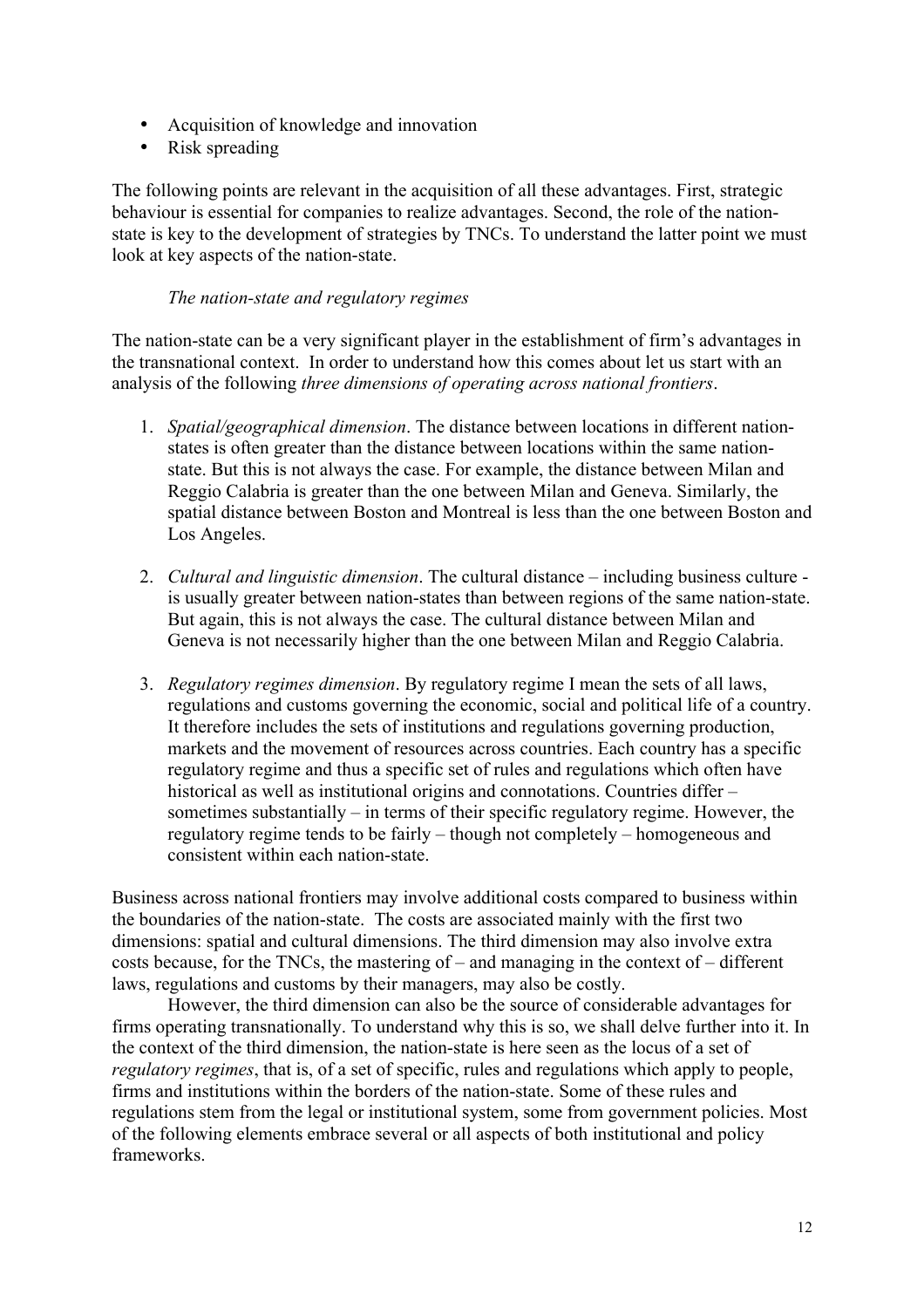- Acquisition of knowledge and innovation
- Risk spreading

The following points are relevant in the acquisition of all these advantages. First, strategic behaviour is essential for companies to realize advantages. Second, the role of the nationstate is key to the development of strategies by TNCs. To understand the latter point we must look at key aspects of the nation-state.

## *The nation-state and regulatory regimes*

The nation-state can be a very significant player in the establishment of firm's advantages in the transnational context. In order to understand how this comes about let us start with an analysis of the following *three dimensions of operating across national frontiers*.

- 1. *Spatial/geographical dimension*. The distance between locations in different nationstates is often greater than the distance between locations within the same nationstate. But this is not always the case. For example, the distance between Milan and Reggio Calabria is greater than the one between Milan and Geneva. Similarly, the spatial distance between Boston and Montreal is less than the one between Boston and Los Angeles.
- 2. *Cultural and linguistic dimension*. The cultural distance including business culture is usually greater between nation-states than between regions of the same nation-state. But again, this is not always the case. The cultural distance between Milan and Geneva is not necessarily higher than the one between Milan and Reggio Calabria.
- 3. *Regulatory regimes dimension*. By regulatory regime I mean the sets of all laws, regulations and customs governing the economic, social and political life of a country. It therefore includes the sets of institutions and regulations governing production, markets and the movement of resources across countries. Each country has a specific regulatory regime and thus a specific set of rules and regulations which often have historical as well as institutional origins and connotations. Countries differ – sometimes substantially – in terms of their specific regulatory regime. However, the regulatory regime tends to be fairly – though not completely – homogeneous and consistent within each nation-state.

Business across national frontiers may involve additional costs compared to business within the boundaries of the nation-state. The costs are associated mainly with the first two dimensions: spatial and cultural dimensions. The third dimension may also involve extra costs because, for the TNCs, the mastering of – and managing in the context of – different laws, regulations and customs by their managers, may also be costly.

However, the third dimension can also be the source of considerable advantages for firms operating transnationally. To understand why this is so, we shall delve further into it. In the context of the third dimension, the nation-state is here seen as the locus of a set of *regulatory regimes*, that is, of a set of specific, rules and regulations which apply to people, firms and institutions within the borders of the nation-state. Some of these rules and regulations stem from the legal or institutional system, some from government policies. Most of the following elements embrace several or all aspects of both institutional and policy frameworks.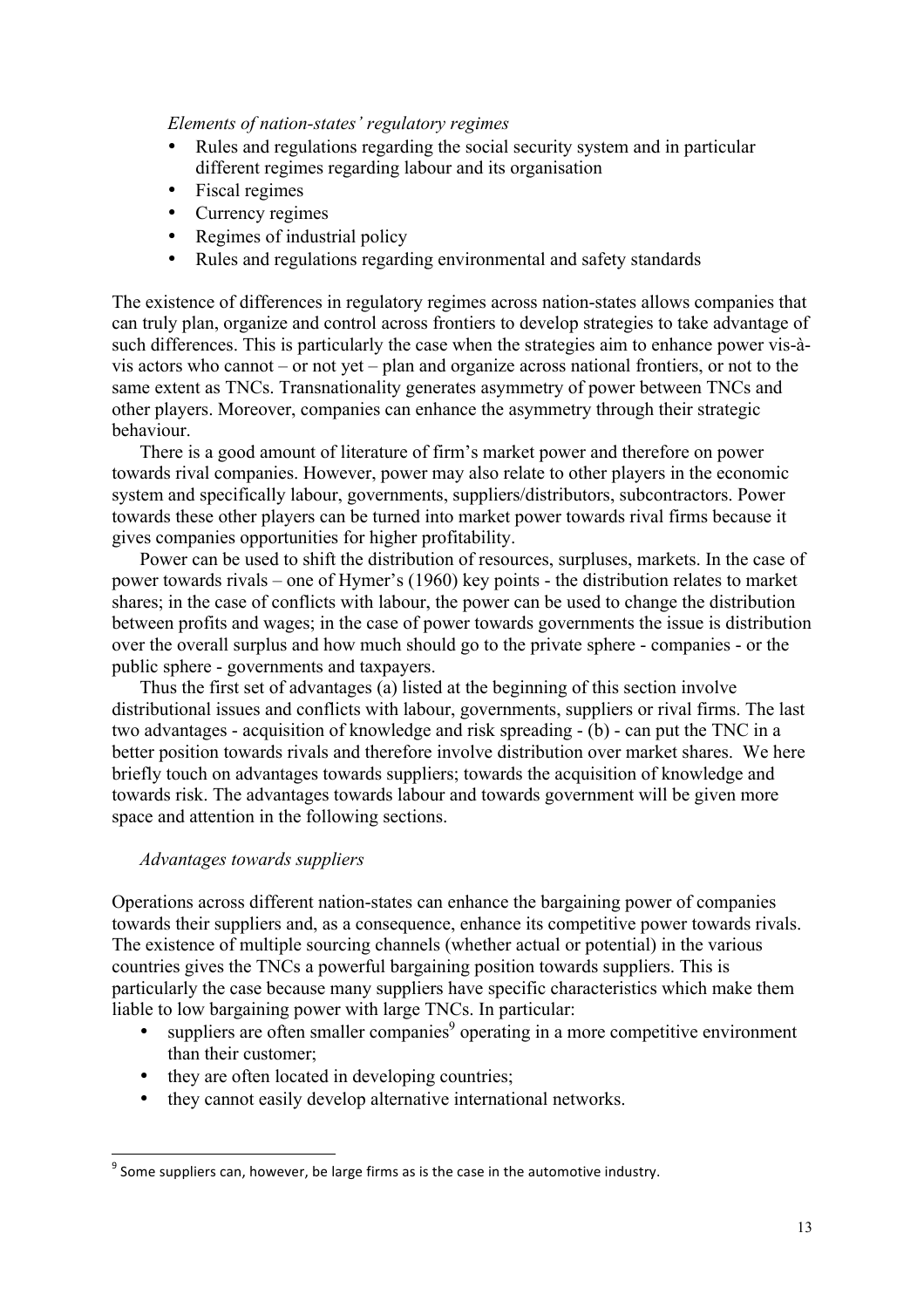### *Elements of nation-states' regulatory regimes*

- Rules and regulations regarding the social security system and in particular different regimes regarding labour and its organisation
- Fiscal regimes
- Currency regimes
- Regimes of industrial policy
- Rules and regulations regarding environmental and safety standards

The existence of differences in regulatory regimes across nation-states allows companies that can truly plan, organize and control across frontiers to develop strategies to take advantage of such differences. This is particularly the case when the strategies aim to enhance power vis-àvis actors who cannot – or not yet – plan and organize across national frontiers, or not to the same extent as TNCs. Transnationality generates asymmetry of power between TNCs and other players. Moreover, companies can enhance the asymmetry through their strategic behaviour.

There is a good amount of literature of firm's market power and therefore on power towards rival companies. However, power may also relate to other players in the economic system and specifically labour, governments, suppliers/distributors, subcontractors. Power towards these other players can be turned into market power towards rival firms because it gives companies opportunities for higher profitability.

Power can be used to shift the distribution of resources, surpluses, markets. In the case of power towards rivals – one of Hymer's (1960) key points - the distribution relates to market shares; in the case of conflicts with labour, the power can be used to change the distribution between profits and wages; in the case of power towards governments the issue is distribution over the overall surplus and how much should go to the private sphere - companies - or the public sphere - governments and taxpayers.

Thus the first set of advantages (a) listed at the beginning of this section involve distributional issues and conflicts with labour, governments, suppliers or rival firms. The last two advantages - acquisition of knowledge and risk spreading - (b) - can put the TNC in a better position towards rivals and therefore involve distribution over market shares. We here briefly touch on advantages towards suppliers; towards the acquisition of knowledge and towards risk. The advantages towards labour and towards government will be given more space and attention in the following sections.

### *Advantages towards suppliers*

<u> 1989 - Johann Stein, fransk politiker (d. 1989)</u>

Operations across different nation-states can enhance the bargaining power of companies towards their suppliers and, as a consequence, enhance its competitive power towards rivals. The existence of multiple sourcing channels (whether actual or potential) in the various countries gives the TNCs a powerful bargaining position towards suppliers. This is particularly the case because many suppliers have specific characteristics which make them liable to low bargaining power with large TNCs. In particular:

- suppliers are often smaller companies $\degree$  operating in a more competitive environment than their customer;
- they are often located in developing countries;
- they cannot easily develop alternative international networks.

 $9$  Some suppliers can, however, be large firms as is the case in the automotive industry.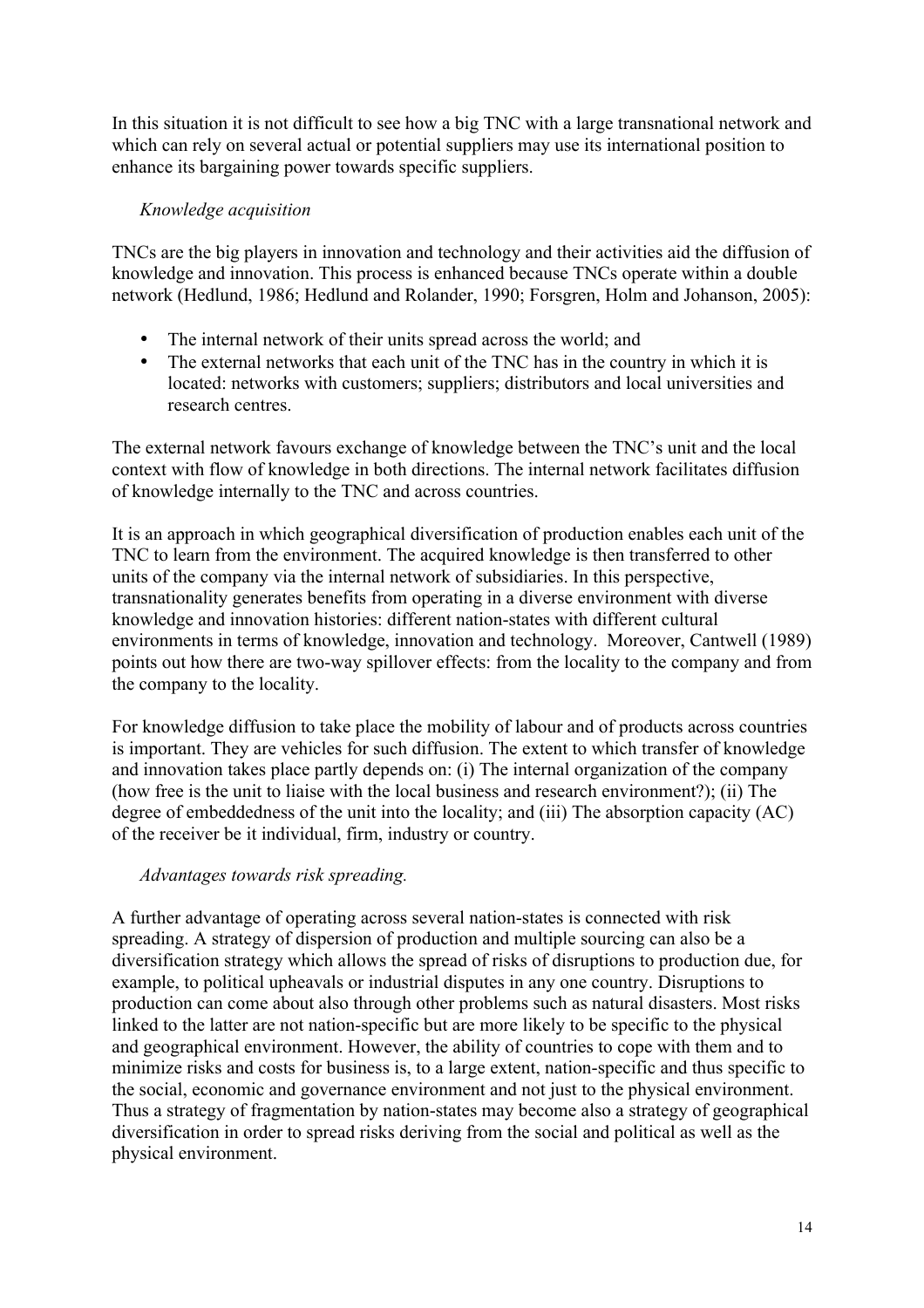In this situation it is not difficult to see how a big TNC with a large transnational network and which can rely on several actual or potential suppliers may use its international position to enhance its bargaining power towards specific suppliers.

### *Knowledge acquisition*

TNCs are the big players in innovation and technology and their activities aid the diffusion of knowledge and innovation. This process is enhanced because TNCs operate within a double network (Hedlund, 1986; Hedlund and Rolander, 1990; Forsgren, Holm and Johanson, 2005):

- The internal network of their units spread across the world; and
- The external networks that each unit of the TNC has in the country in which it is located: networks with customers; suppliers; distributors and local universities and research centres.

The external network favours exchange of knowledge between the TNC's unit and the local context with flow of knowledge in both directions. The internal network facilitates diffusion of knowledge internally to the TNC and across countries.

It is an approach in which geographical diversification of production enables each unit of the TNC to learn from the environment. The acquired knowledge is then transferred to other units of the company via the internal network of subsidiaries. In this perspective, transnationality generates benefits from operating in a diverse environment with diverse knowledge and innovation histories: different nation-states with different cultural environments in terms of knowledge, innovation and technology. Moreover, Cantwell (1989) points out how there are two-way spillover effects: from the locality to the company and from the company to the locality.

For knowledge diffusion to take place the mobility of labour and of products across countries is important. They are vehicles for such diffusion. The extent to which transfer of knowledge and innovation takes place partly depends on: (i) The internal organization of the company (how free is the unit to liaise with the local business and research environment?); (ii) The degree of embeddedness of the unit into the locality; and (iii) The absorption capacity (AC) of the receiver be it individual, firm, industry or country.

## *Advantages towards risk spreading.*

A further advantage of operating across several nation-states is connected with risk spreading. A strategy of dispersion of production and multiple sourcing can also be a diversification strategy which allows the spread of risks of disruptions to production due, for example, to political upheavals or industrial disputes in any one country. Disruptions to production can come about also through other problems such as natural disasters. Most risks linked to the latter are not nation-specific but are more likely to be specific to the physical and geographical environment. However, the ability of countries to cope with them and to minimize risks and costs for business is, to a large extent, nation-specific and thus specific to the social, economic and governance environment and not just to the physical environment. Thus a strategy of fragmentation by nation-states may become also a strategy of geographical diversification in order to spread risks deriving from the social and political as well as the physical environment.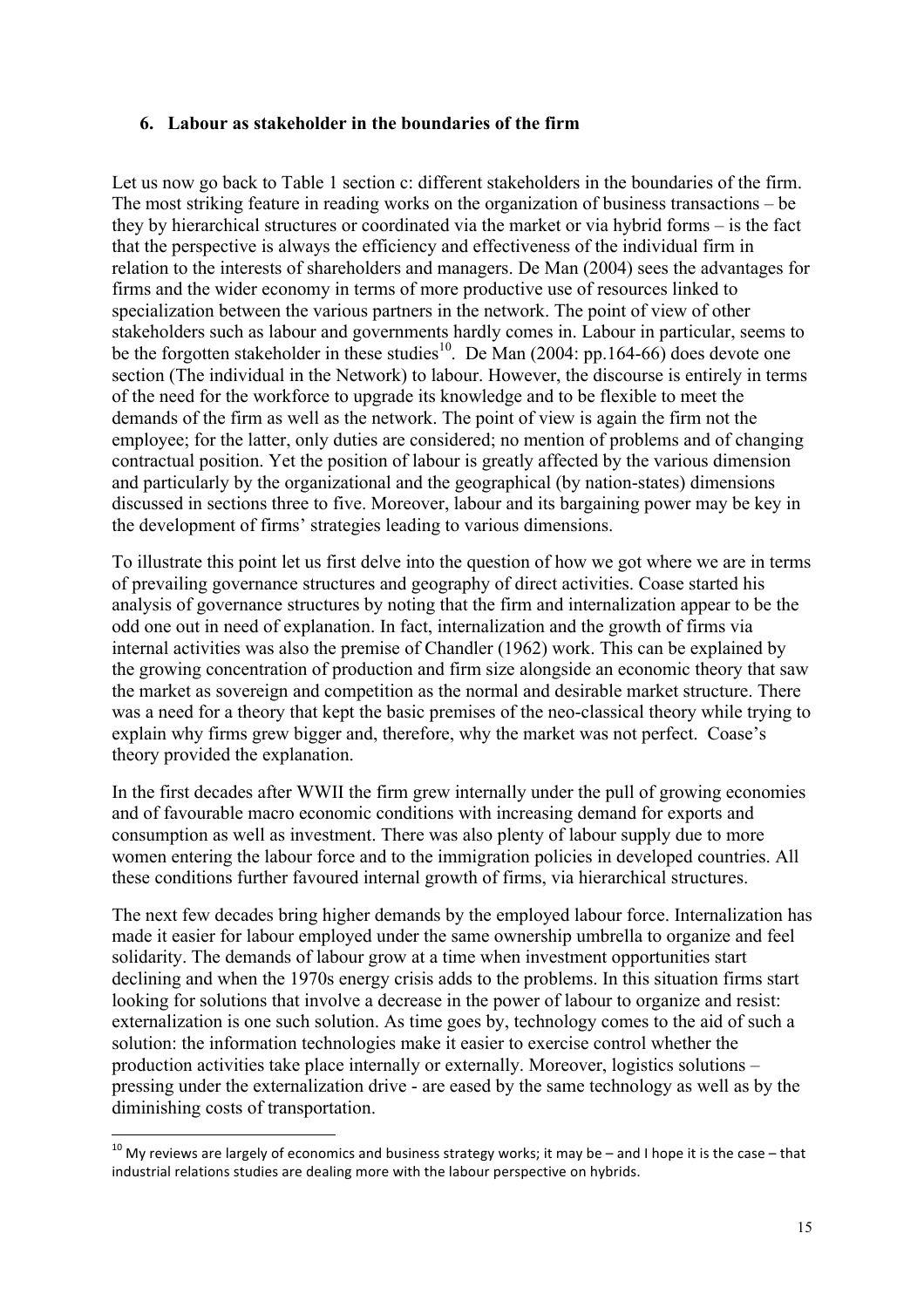### **6. Labour as stakeholder in the boundaries of the firm**

Let us now go back to Table 1 section c: different stakeholders in the boundaries of the firm. The most striking feature in reading works on the organization of business transactions – be they by hierarchical structures or coordinated via the market or via hybrid forms – is the fact that the perspective is always the efficiency and effectiveness of the individual firm in relation to the interests of shareholders and managers. De Man (2004) sees the advantages for firms and the wider economy in terms of more productive use of resources linked to specialization between the various partners in the network. The point of view of other stakeholders such as labour and governments hardly comes in. Labour in particular, seems to be the forgotten stakeholder in these studies<sup>10</sup>. De Man (2004: pp.164-66) does devote one section (The individual in the Network) to labour. However, the discourse is entirely in terms of the need for the workforce to upgrade its knowledge and to be flexible to meet the demands of the firm as well as the network. The point of view is again the firm not the employee; for the latter, only duties are considered; no mention of problems and of changing contractual position. Yet the position of labour is greatly affected by the various dimension and particularly by the organizational and the geographical (by nation-states) dimensions discussed in sections three to five. Moreover, labour and its bargaining power may be key in the development of firms' strategies leading to various dimensions.

To illustrate this point let us first delve into the question of how we got where we are in terms of prevailing governance structures and geography of direct activities. Coase started his analysis of governance structures by noting that the firm and internalization appear to be the odd one out in need of explanation. In fact, internalization and the growth of firms via internal activities was also the premise of Chandler (1962) work. This can be explained by the growing concentration of production and firm size alongside an economic theory that saw the market as sovereign and competition as the normal and desirable market structure. There was a need for a theory that kept the basic premises of the neo-classical theory while trying to explain why firms grew bigger and, therefore, why the market was not perfect. Coase's theory provided the explanation.

In the first decades after WWII the firm grew internally under the pull of growing economies and of favourable macro economic conditions with increasing demand for exports and consumption as well as investment. There was also plenty of labour supply due to more women entering the labour force and to the immigration policies in developed countries. All these conditions further favoured internal growth of firms, via hierarchical structures.

The next few decades bring higher demands by the employed labour force. Internalization has made it easier for labour employed under the same ownership umbrella to organize and feel solidarity. The demands of labour grow at a time when investment opportunities start declining and when the 1970s energy crisis adds to the problems. In this situation firms start looking for solutions that involve a decrease in the power of labour to organize and resist: externalization is one such solution. As time goes by, technology comes to the aid of such a solution: the information technologies make it easier to exercise control whether the production activities take place internally or externally. Moreover, logistics solutions – pressing under the externalization drive - are eased by the same technology as well as by the diminishing costs of transportation.

<u> 1989 - Johann Stein, fransk politiker (d. 1989)</u>

 $10$  My reviews are largely of economics and business strategy works; it may be – and I hope it is the case – that industrial relations studies are dealing more with the labour perspective on hybrids.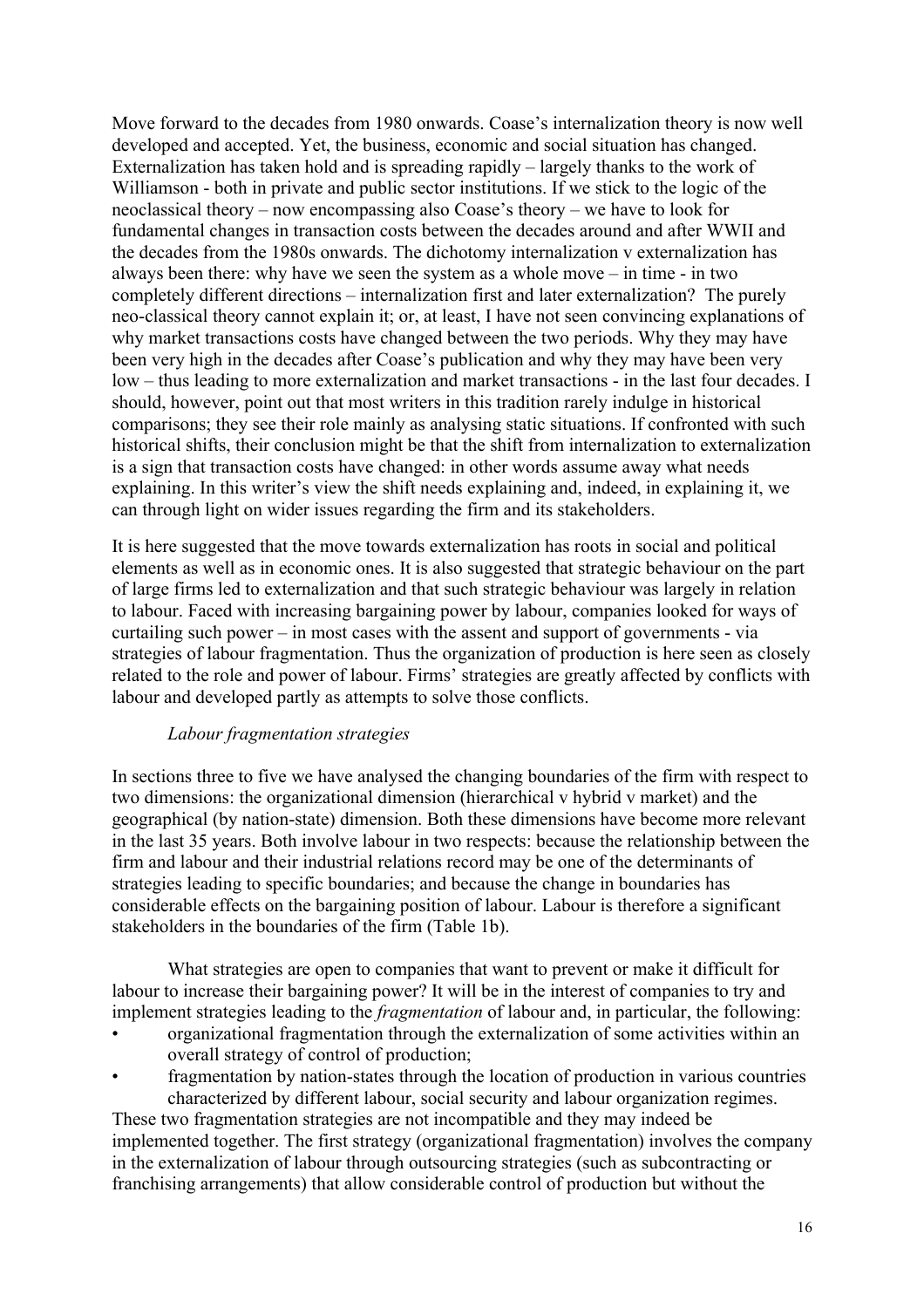Move forward to the decades from 1980 onwards. Coase's internalization theory is now well developed and accepted. Yet, the business, economic and social situation has changed. Externalization has taken hold and is spreading rapidly – largely thanks to the work of Williamson - both in private and public sector institutions. If we stick to the logic of the neoclassical theory – now encompassing also Coase's theory – we have to look for fundamental changes in transaction costs between the decades around and after WWII and the decades from the 1980s onwards. The dichotomy internalization v externalization has always been there: why have we seen the system as a whole move – in time - in two completely different directions – internalization first and later externalization? The purely neo-classical theory cannot explain it; or, at least, I have not seen convincing explanations of why market transactions costs have changed between the two periods. Why they may have been very high in the decades after Coase's publication and why they may have been very low – thus leading to more externalization and market transactions - in the last four decades. I should, however, point out that most writers in this tradition rarely indulge in historical comparisons; they see their role mainly as analysing static situations. If confronted with such historical shifts, their conclusion might be that the shift from internalization to externalization is a sign that transaction costs have changed: in other words assume away what needs explaining. In this writer's view the shift needs explaining and, indeed, in explaining it, we can through light on wider issues regarding the firm and its stakeholders.

It is here suggested that the move towards externalization has roots in social and political elements as well as in economic ones. It is also suggested that strategic behaviour on the part of large firms led to externalization and that such strategic behaviour was largely in relation to labour. Faced with increasing bargaining power by labour, companies looked for ways of curtailing such power – in most cases with the assent and support of governments - via strategies of labour fragmentation. Thus the organization of production is here seen as closely related to the role and power of labour. Firms' strategies are greatly affected by conflicts with labour and developed partly as attempts to solve those conflicts.

### *Labour fragmentation strategies*

In sections three to five we have analysed the changing boundaries of the firm with respect to two dimensions: the organizational dimension (hierarchical v hybrid v market) and the geographical (by nation-state) dimension. Both these dimensions have become more relevant in the last 35 years. Both involve labour in two respects: because the relationship between the firm and labour and their industrial relations record may be one of the determinants of strategies leading to specific boundaries; and because the change in boundaries has considerable effects on the bargaining position of labour. Labour is therefore a significant stakeholders in the boundaries of the firm (Table 1b).

What strategies are open to companies that want to prevent or make it difficult for labour to increase their bargaining power? It will be in the interest of companies to try and implement strategies leading to the *fragmentation* of labour and, in particular, the following:

- organizational fragmentation through the externalization of some activities within an overall strategy of control of production;
- fragmentation by nation-states through the location of production in various countries characterized by different labour, social security and labour organization regimes.

These two fragmentation strategies are not incompatible and they may indeed be implemented together. The first strategy (organizational fragmentation) involves the company in the externalization of labour through outsourcing strategies (such as subcontracting or franchising arrangements) that allow considerable control of production but without the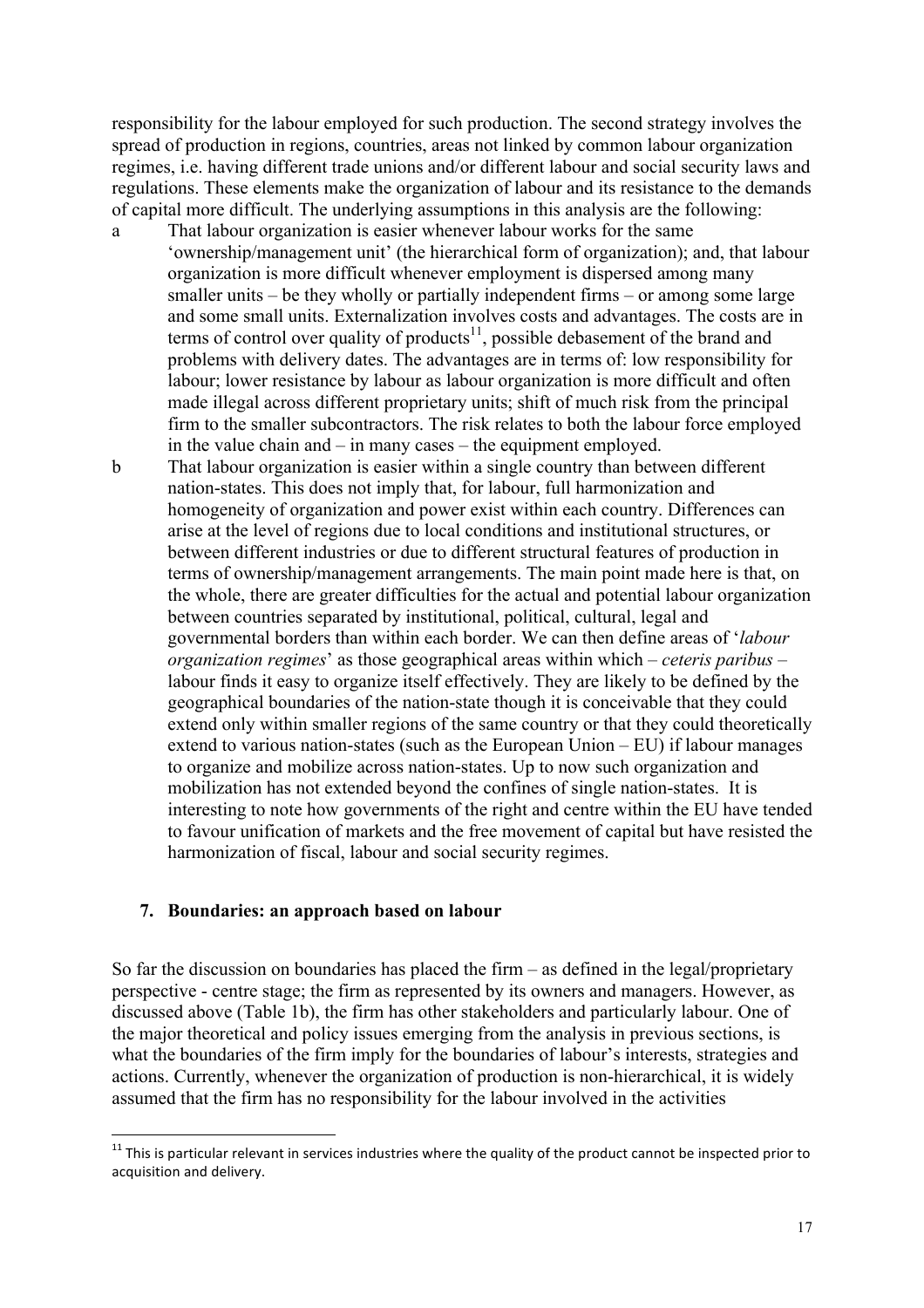responsibility for the labour employed for such production. The second strategy involves the spread of production in regions, countries, areas not linked by common labour organization regimes, i.e. having different trade unions and/or different labour and social security laws and regulations. These elements make the organization of labour and its resistance to the demands of capital more difficult. The underlying assumptions in this analysis are the following:

a That labour organization is easier whenever labour works for the same 'ownership/management unit' (the hierarchical form of organization); and, that labour organization is more difficult whenever employment is dispersed among many smaller units – be they wholly or partially independent firms – or among some large and some small units. Externalization involves costs and advantages. The costs are in terms of control over quality of products<sup>11</sup>, possible debasement of the brand and problems with delivery dates. The advantages are in terms of: low responsibility for labour; lower resistance by labour as labour organization is more difficult and often made illegal across different proprietary units; shift of much risk from the principal firm to the smaller subcontractors. The risk relates to both the labour force employed in the value chain and – in many cases – the equipment employed.

b That labour organization is easier within a single country than between different nation-states. This does not imply that, for labour, full harmonization and homogeneity of organization and power exist within each country. Differences can arise at the level of regions due to local conditions and institutional structures, or between different industries or due to different structural features of production in terms of ownership/management arrangements. The main point made here is that, on the whole, there are greater difficulties for the actual and potential labour organization between countries separated by institutional, political, cultural, legal and governmental borders than within each border. We can then define areas of '*labour organization regimes*' as those geographical areas within which – *ceteris paribus* – labour finds it easy to organize itself effectively. They are likely to be defined by the geographical boundaries of the nation-state though it is conceivable that they could extend only within smaller regions of the same country or that they could theoretically extend to various nation-states (such as the European Union – EU) if labour manages to organize and mobilize across nation-states. Up to now such organization and mobilization has not extended beyond the confines of single nation-states. It is interesting to note how governments of the right and centre within the EU have tended to favour unification of markets and the free movement of capital but have resisted the harmonization of fiscal, labour and social security regimes.

### **7. Boundaries: an approach based on labour**

<u> 1989 - Jan Samuel Barbara, margaret e</u>

So far the discussion on boundaries has placed the firm  $-$  as defined in the legal/proprietary perspective - centre stage; the firm as represented by its owners and managers. However, as discussed above (Table 1b), the firm has other stakeholders and particularly labour. One of the major theoretical and policy issues emerging from the analysis in previous sections, is what the boundaries of the firm imply for the boundaries of labour's interests, strategies and actions. Currently, whenever the organization of production is non-hierarchical, it is widely assumed that the firm has no responsibility for the labour involved in the activities

 $11$  This is particular relevant in services industries where the quality of the product cannot be inspected prior to acquisition and delivery.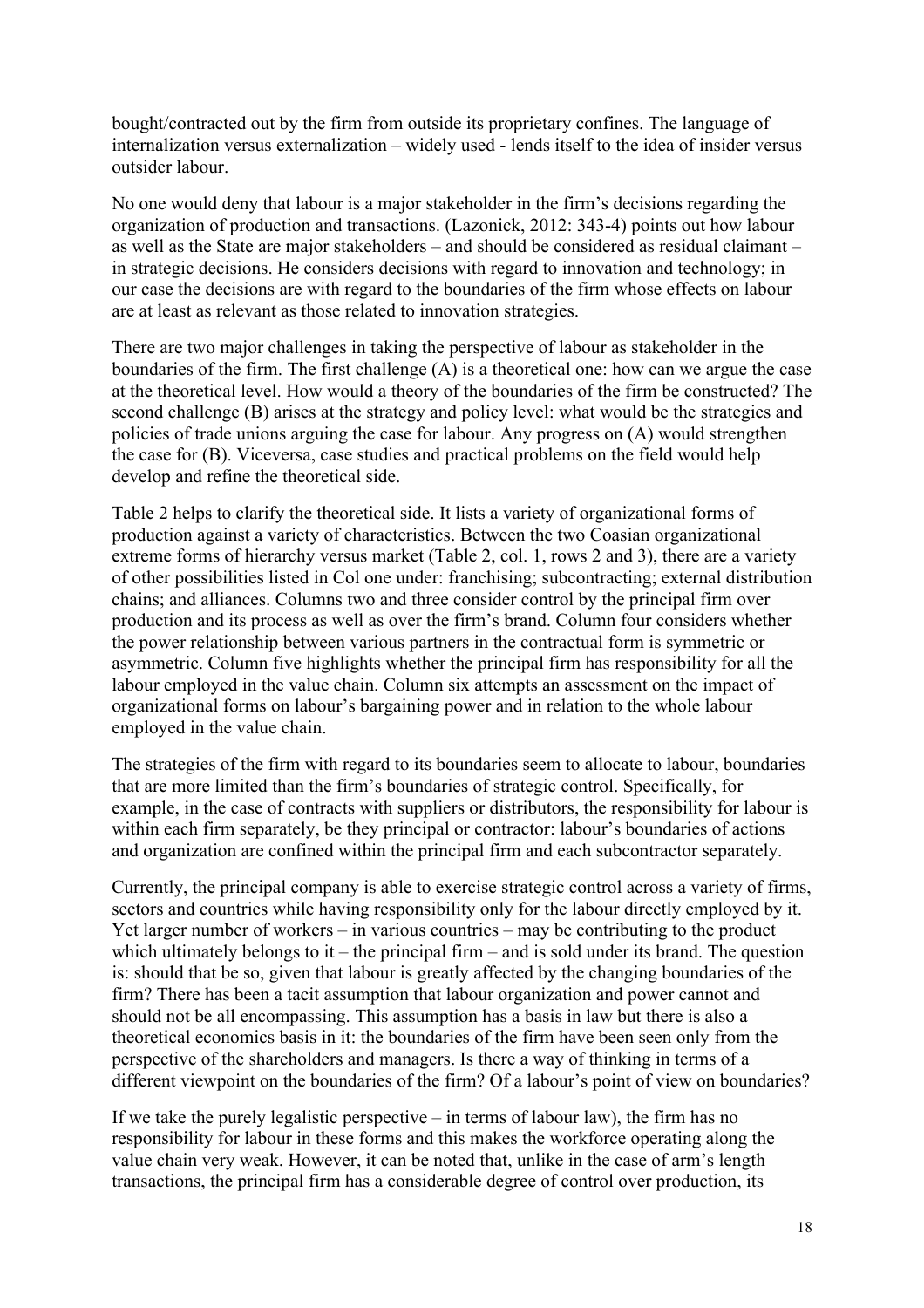bought/contracted out by the firm from outside its proprietary confines. The language of internalization versus externalization – widely used - lends itself to the idea of insider versus outsider labour.

No one would deny that labour is a major stakeholder in the firm's decisions regarding the organization of production and transactions. (Lazonick, 2012: 343-4) points out how labour as well as the State are major stakeholders – and should be considered as residual claimant – in strategic decisions. He considers decisions with regard to innovation and technology; in our case the decisions are with regard to the boundaries of the firm whose effects on labour are at least as relevant as those related to innovation strategies.

There are two major challenges in taking the perspective of labour as stakeholder in the boundaries of the firm. The first challenge (A) is a theoretical one: how can we argue the case at the theoretical level. How would a theory of the boundaries of the firm be constructed? The second challenge (B) arises at the strategy and policy level: what would be the strategies and policies of trade unions arguing the case for labour. Any progress on (A) would strengthen the case for (B). Viceversa, case studies and practical problems on the field would help develop and refine the theoretical side.

Table 2 helps to clarify the theoretical side. It lists a variety of organizational forms of production against a variety of characteristics. Between the two Coasian organizational extreme forms of hierarchy versus market (Table 2, col. 1, rows 2 and 3), there are a variety of other possibilities listed in Col one under: franchising; subcontracting; external distribution chains; and alliances. Columns two and three consider control by the principal firm over production and its process as well as over the firm's brand. Column four considers whether the power relationship between various partners in the contractual form is symmetric or asymmetric. Column five highlights whether the principal firm has responsibility for all the labour employed in the value chain. Column six attempts an assessment on the impact of organizational forms on labour's bargaining power and in relation to the whole labour employed in the value chain.

The strategies of the firm with regard to its boundaries seem to allocate to labour, boundaries that are more limited than the firm's boundaries of strategic control. Specifically, for example, in the case of contracts with suppliers or distributors, the responsibility for labour is within each firm separately, be they principal or contractor: labour's boundaries of actions and organization are confined within the principal firm and each subcontractor separately.

Currently, the principal company is able to exercise strategic control across a variety of firms, sectors and countries while having responsibility only for the labour directly employed by it. Yet larger number of workers – in various countries – may be contributing to the product which ultimately belongs to it – the principal firm – and is sold under its brand. The question is: should that be so, given that labour is greatly affected by the changing boundaries of the firm? There has been a tacit assumption that labour organization and power cannot and should not be all encompassing. This assumption has a basis in law but there is also a theoretical economics basis in it: the boundaries of the firm have been seen only from the perspective of the shareholders and managers. Is there a way of thinking in terms of a different viewpoint on the boundaries of the firm? Of a labour's point of view on boundaries?

If we take the purely legalistic perspective – in terms of labour law), the firm has no responsibility for labour in these forms and this makes the workforce operating along the value chain very weak. However, it can be noted that, unlike in the case of arm's length transactions, the principal firm has a considerable degree of control over production, its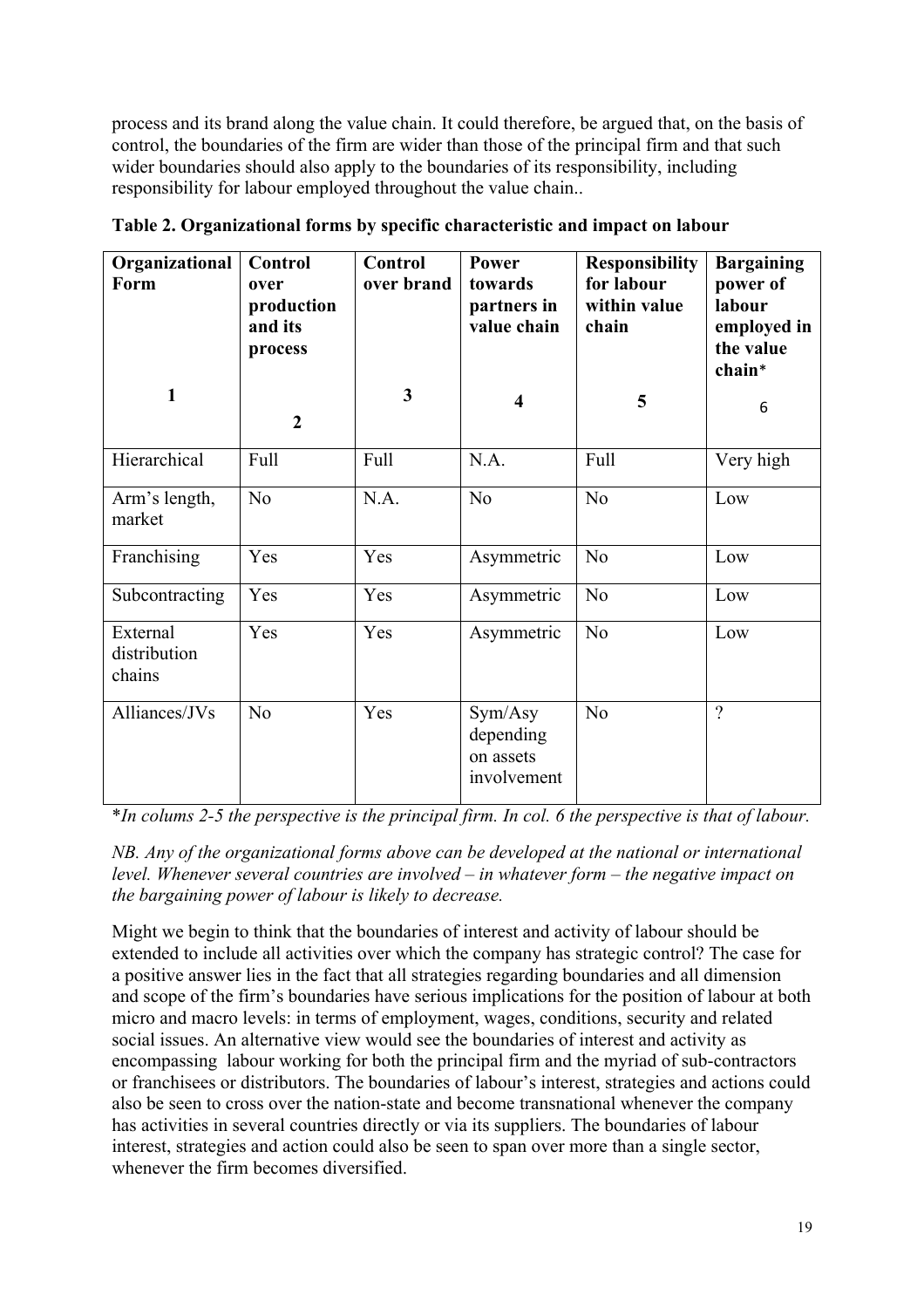process and its brand along the value chain. It could therefore, be argued that, on the basis of control, the boundaries of the firm are wider than those of the principal firm and that such wider boundaries should also apply to the boundaries of its responsibility, including responsibility for labour employed throughout the value chain..

| Organizational<br>Form             | Control<br>over<br>production<br>and its<br>process | Control<br>over brand | Power<br>towards<br>partners in<br>value chain   | <b>Responsibility</b><br>for labour<br>within value<br>chain | <b>Bargaining</b><br>power of<br>labour<br>employed in<br>the value<br>chain* |
|------------------------------------|-----------------------------------------------------|-----------------------|--------------------------------------------------|--------------------------------------------------------------|-------------------------------------------------------------------------------|
| $\mathbf{1}$                       | $\boldsymbol{2}$                                    | $\mathbf{3}$          | $\overline{\mathbf{4}}$                          | 5                                                            | 6                                                                             |
| Hierarchical                       | Full                                                | Full                  | N.A.                                             | Full                                                         | Very high                                                                     |
| Arm's length,<br>market            | N <sub>o</sub>                                      | N.A.                  | N <sub>o</sub>                                   | N <sub>o</sub>                                               | Low                                                                           |
| Franchising                        | Yes                                                 | Yes                   | Asymmetric                                       | N <sub>o</sub>                                               | Low                                                                           |
| Subcontracting                     | Yes                                                 | Yes                   | Asymmetric                                       | N <sub>o</sub>                                               | Low                                                                           |
| External<br>distribution<br>chains | Yes                                                 | Yes                   | Asymmetric                                       | N <sub>o</sub>                                               | Low                                                                           |
| Alliances/JVs                      | N <sub>o</sub>                                      | Yes                   | Sym/Asy<br>depending<br>on assets<br>involvement | N <sub>0</sub>                                               | $\gamma$                                                                      |

**Table 2. Organizational forms by specific characteristic and impact on labour**

\**In colums 2-5 the perspective is the principal firm. In col. 6 the perspective is that of labour.*

*NB. Any of the organizational forms above can be developed at the national or international level. Whenever several countries are involved – in whatever form – the negative impact on the bargaining power of labour is likely to decrease.*

Might we begin to think that the boundaries of interest and activity of labour should be extended to include all activities over which the company has strategic control? The case for a positive answer lies in the fact that all strategies regarding boundaries and all dimension and scope of the firm's boundaries have serious implications for the position of labour at both micro and macro levels: in terms of employment, wages, conditions, security and related social issues. An alternative view would see the boundaries of interest and activity as encompassing labour working for both the principal firm and the myriad of sub-contractors or franchisees or distributors. The boundaries of labour's interest, strategies and actions could also be seen to cross over the nation-state and become transnational whenever the company has activities in several countries directly or via its suppliers. The boundaries of labour interest, strategies and action could also be seen to span over more than a single sector, whenever the firm becomes diversified.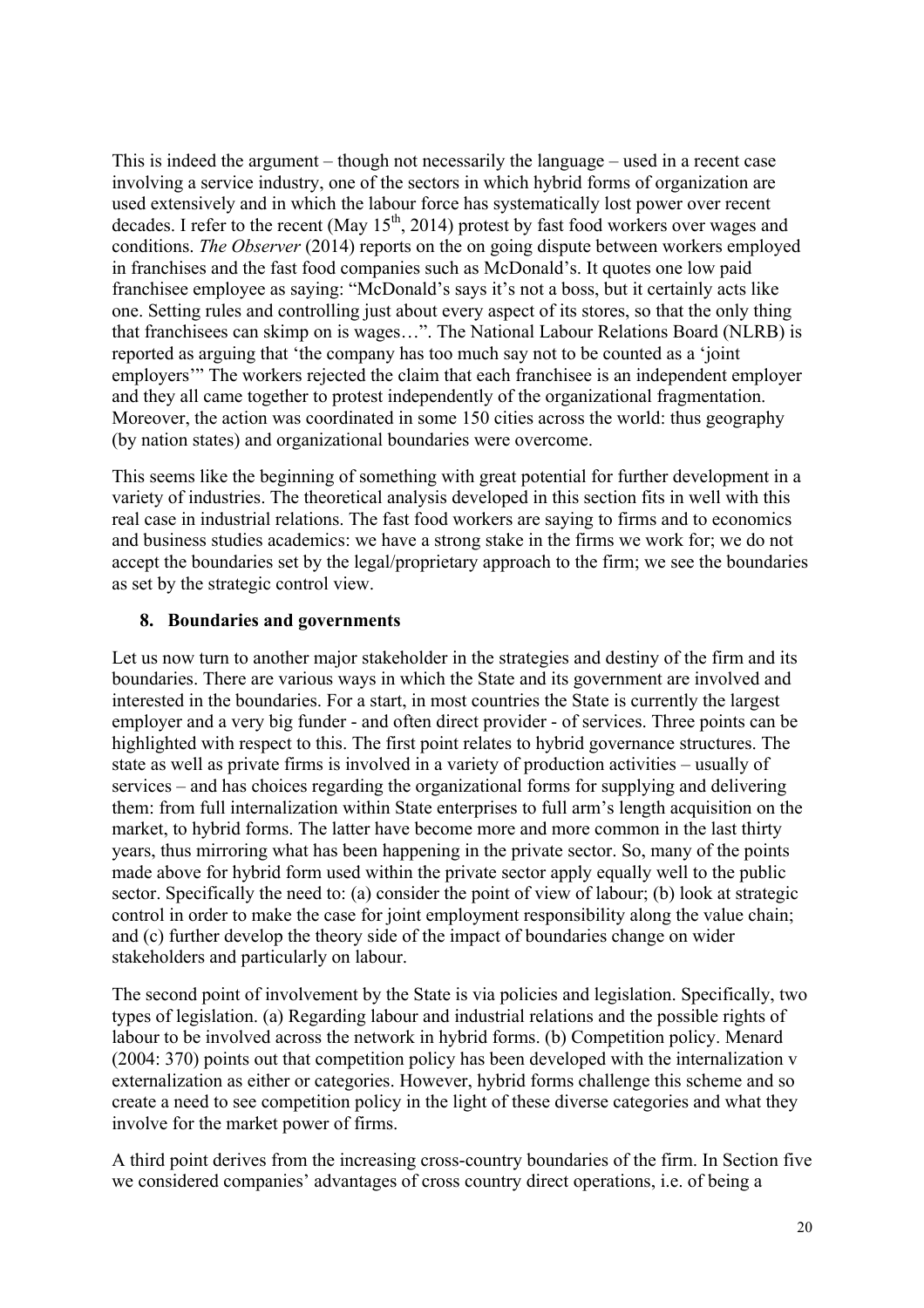This is indeed the argument – though not necessarily the language – used in a recent case involving a service industry, one of the sectors in which hybrid forms of organization are used extensively and in which the labour force has systematically lost power over recent decades. I refer to the recent (May 15<sup>th</sup>, 2014) protest by fast food workers over wages and conditions. *The Observer* (2014) reports on the on going dispute between workers employed in franchises and the fast food companies such as McDonald's. It quotes one low paid franchisee employee as saying: "McDonald's says it's not a boss, but it certainly acts like one. Setting rules and controlling just about every aspect of its stores, so that the only thing that franchisees can skimp on is wages…". The National Labour Relations Board (NLRB) is reported as arguing that 'the company has too much say not to be counted as a 'joint employers'" The workers rejected the claim that each franchisee is an independent employer and they all came together to protest independently of the organizational fragmentation. Moreover, the action was coordinated in some 150 cities across the world: thus geography (by nation states) and organizational boundaries were overcome.

This seems like the beginning of something with great potential for further development in a variety of industries. The theoretical analysis developed in this section fits in well with this real case in industrial relations. The fast food workers are saying to firms and to economics and business studies academics: we have a strong stake in the firms we work for; we do not accept the boundaries set by the legal/proprietary approach to the firm; we see the boundaries as set by the strategic control view.

## **8. Boundaries and governments**

Let us now turn to another major stakeholder in the strategies and destiny of the firm and its boundaries. There are various ways in which the State and its government are involved and interested in the boundaries. For a start, in most countries the State is currently the largest employer and a very big funder - and often direct provider - of services. Three points can be highlighted with respect to this. The first point relates to hybrid governance structures. The state as well as private firms is involved in a variety of production activities – usually of services – and has choices regarding the organizational forms for supplying and delivering them: from full internalization within State enterprises to full arm's length acquisition on the market, to hybrid forms. The latter have become more and more common in the last thirty years, thus mirroring what has been happening in the private sector. So, many of the points made above for hybrid form used within the private sector apply equally well to the public sector. Specifically the need to: (a) consider the point of view of labour; (b) look at strategic control in order to make the case for joint employment responsibility along the value chain; and (c) further develop the theory side of the impact of boundaries change on wider stakeholders and particularly on labour.

The second point of involvement by the State is via policies and legislation. Specifically, two types of legislation. (a) Regarding labour and industrial relations and the possible rights of labour to be involved across the network in hybrid forms. (b) Competition policy. Menard (2004: 370) points out that competition policy has been developed with the internalization v externalization as either or categories. However, hybrid forms challenge this scheme and so create a need to see competition policy in the light of these diverse categories and what they involve for the market power of firms.

A third point derives from the increasing cross-country boundaries of the firm. In Section five we considered companies' advantages of cross country direct operations, i.e. of being a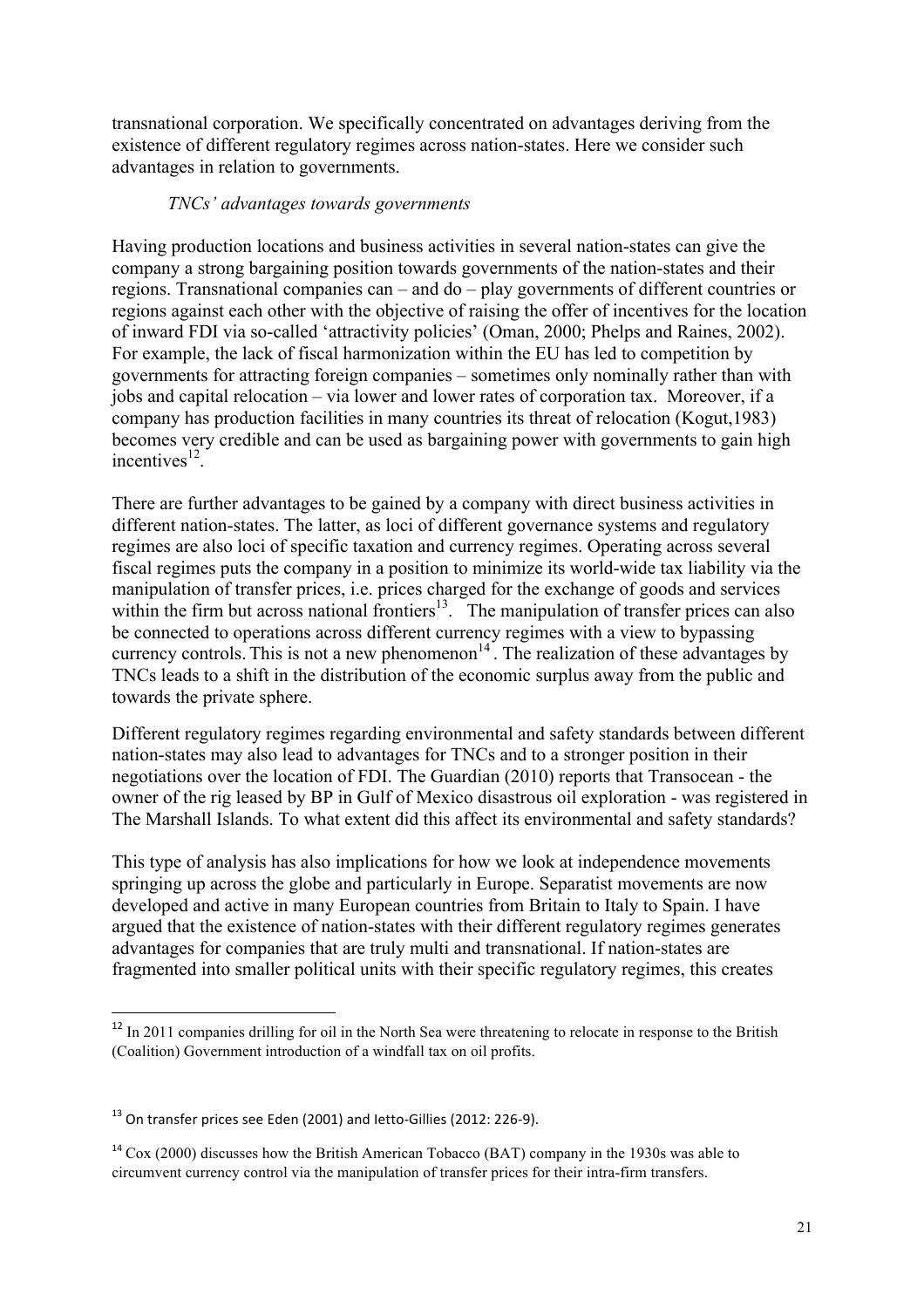transnational corporation. We specifically concentrated on advantages deriving from the existence of different regulatory regimes across nation-states. Here we consider such advantages in relation to governments.

### *TNCs' advantages towards governments*

Having production locations and business activities in several nation-states can give the company a strong bargaining position towards governments of the nation-states and their regions. Transnational companies can – and do – play governments of different countries or regions against each other with the objective of raising the offer of incentives for the location of inward FDI via so-called 'attractivity policies' (Oman, 2000; Phelps and Raines, 2002). For example, the lack of fiscal harmonization within the EU has led to competition by governments for attracting foreign companies – sometimes only nominally rather than with jobs and capital relocation – via lower and lower rates of corporation tax. Moreover, if a company has production facilities in many countries its threat of relocation (Kogut,1983) becomes very credible and can be used as bargaining power with governments to gain high incentives $^{12}$ .

There are further advantages to be gained by a company with direct business activities in different nation-states. The latter, as loci of different governance systems and regulatory regimes are also loci of specific taxation and currency regimes. Operating across several fiscal regimes puts the company in a position to minimize its world-wide tax liability via the manipulation of transfer prices, i.e. prices charged for the exchange of goods and services within the firm but across national frontiers<sup>13</sup>. The manipulation of transfer prices can also be connected to operations across different currency regimes with a view to bypassing currency controls. This is not a new phenomenon<sup>14</sup>. The realization of these advantages by TNCs leads to a shift in the distribution of the economic surplus away from the public and towards the private sphere.

Different regulatory regimes regarding environmental and safety standards between different nation-states may also lead to advantages for TNCs and to a stronger position in their negotiations over the location of FDI. The Guardian (2010) reports that Transocean - the owner of the rig leased by BP in Gulf of Mexico disastrous oil exploration - was registered in The Marshall Islands. To what extent did this affect its environmental and safety standards?

This type of analysis has also implications for how we look at independence movements springing up across the globe and particularly in Europe. Separatist movements are now developed and active in many European countries from Britain to Italy to Spain. I have argued that the existence of nation-states with their different regulatory regimes generates advantages for companies that are truly multi and transnational. If nation-states are fragmented into smaller political units with their specific regulatory regimes, this creates

<u> 1989 - Jan Samuel Barbara, margaret e</u>

<sup>&</sup>lt;sup>12</sup> In 2011 companies drilling for oil in the North Sea were threatening to relocate in response to the British (Coalition) Government introduction of a windfall tax on oil profits.

 $13$  On transfer prices see Eden (2001) and letto-Gillies (2012: 226-9).

 $14$  Cox (2000) discusses how the British American Tobacco (BAT) company in the 1930s was able to circumvent currency control via the manipulation of transfer prices for their intra-firm transfers.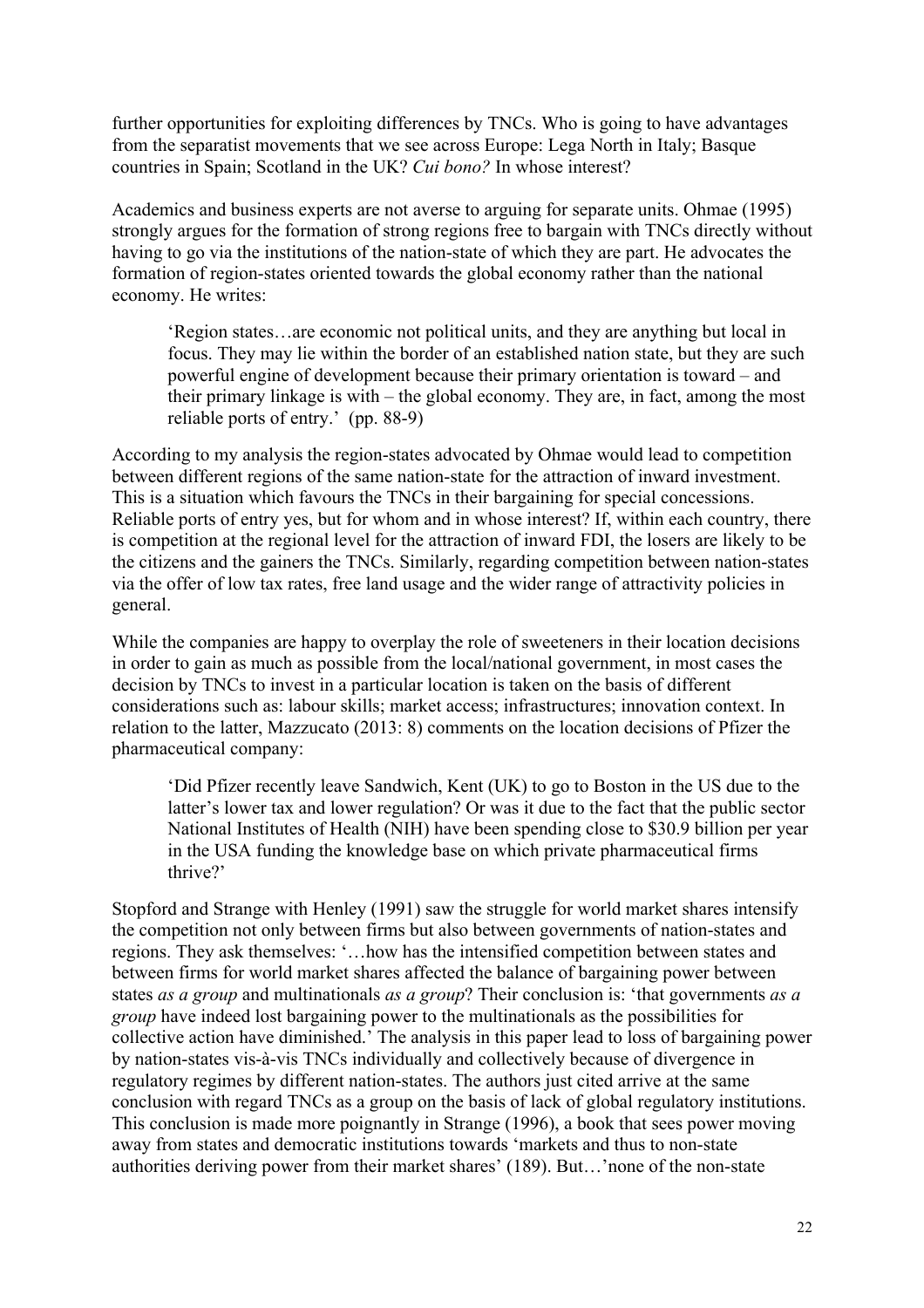further opportunities for exploiting differences by TNCs. Who is going to have advantages from the separatist movements that we see across Europe: Lega North in Italy; Basque countries in Spain; Scotland in the UK? *Cui bono?* In whose interest?

Academics and business experts are not averse to arguing for separate units. Ohmae (1995) strongly argues for the formation of strong regions free to bargain with TNCs directly without having to go via the institutions of the nation-state of which they are part. He advocates the formation of region-states oriented towards the global economy rather than the national economy. He writes:

'Region states…are economic not political units, and they are anything but local in focus. They may lie within the border of an established nation state, but they are such powerful engine of development because their primary orientation is toward – and their primary linkage is with – the global economy. They are, in fact, among the most reliable ports of entry.' (pp. 88-9)

According to my analysis the region-states advocated by Ohmae would lead to competition between different regions of the same nation-state for the attraction of inward investment. This is a situation which favours the TNCs in their bargaining for special concessions. Reliable ports of entry yes, but for whom and in whose interest? If, within each country, there is competition at the regional level for the attraction of inward FDI, the losers are likely to be the citizens and the gainers the TNCs. Similarly, regarding competition between nation-states via the offer of low tax rates, free land usage and the wider range of attractivity policies in general.

While the companies are happy to overplay the role of sweeteners in their location decisions in order to gain as much as possible from the local/national government, in most cases the decision by TNCs to invest in a particular location is taken on the basis of different considerations such as: labour skills; market access; infrastructures; innovation context. In relation to the latter, Mazzucato (2013: 8) comments on the location decisions of Pfizer the pharmaceutical company:

'Did Pfizer recently leave Sandwich, Kent (UK) to go to Boston in the US due to the latter's lower tax and lower regulation? Or was it due to the fact that the public sector National Institutes of Health (NIH) have been spending close to \$30.9 billion per year in the USA funding the knowledge base on which private pharmaceutical firms thrive?'

Stopford and Strange with Henley (1991) saw the struggle for world market shares intensify the competition not only between firms but also between governments of nation-states and regions. They ask themselves: '…how has the intensified competition between states and between firms for world market shares affected the balance of bargaining power between states *as a group* and multinationals *as a group*? Their conclusion is: 'that governments *as a group* have indeed lost bargaining power to the multinationals as the possibilities for collective action have diminished.' The analysis in this paper lead to loss of bargaining power by nation-states vis-à-vis TNCs individually and collectively because of divergence in regulatory regimes by different nation-states. The authors just cited arrive at the same conclusion with regard TNCs as a group on the basis of lack of global regulatory institutions. This conclusion is made more poignantly in Strange (1996), a book that sees power moving away from states and democratic institutions towards 'markets and thus to non-state authorities deriving power from their market shares' (189). But…'none of the non-state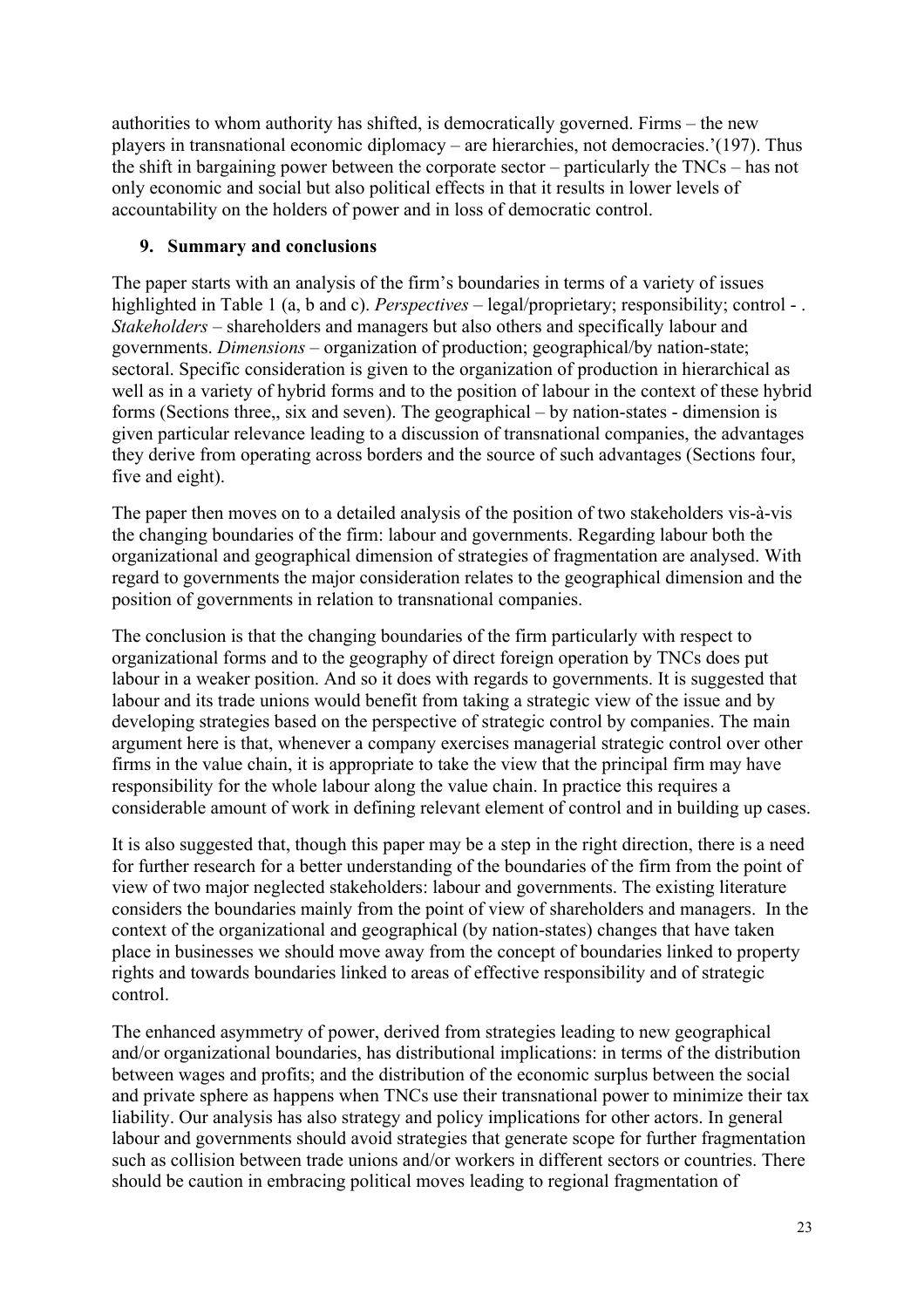authorities to whom authority has shifted, is democratically governed. Firms – the new players in transnational economic diplomacy – are hierarchies, not democracies.'(197). Thus the shift in bargaining power between the corporate sector – particularly the TNCs – has not only economic and social but also political effects in that it results in lower levels of accountability on the holders of power and in loss of democratic control.

# **9. Summary and conclusions**

The paper starts with an analysis of the firm's boundaries in terms of a variety of issues highlighted in Table 1 (a, b and c). *Perspectives* – legal/proprietary; responsibility; control - . *Stakeholders* – shareholders and managers but also others and specifically labour and governments. *Dimensions* – organization of production; geographical/by nation-state; sectoral. Specific consideration is given to the organization of production in hierarchical as well as in a variety of hybrid forms and to the position of labour in the context of these hybrid forms (Sections three,, six and seven). The geographical – by nation-states - dimension is given particular relevance leading to a discussion of transnational companies, the advantages they derive from operating across borders and the source of such advantages (Sections four, five and eight).

The paper then moves on to a detailed analysis of the position of two stakeholders vis-à-vis the changing boundaries of the firm: labour and governments. Regarding labour both the organizational and geographical dimension of strategies of fragmentation are analysed. With regard to governments the major consideration relates to the geographical dimension and the position of governments in relation to transnational companies.

The conclusion is that the changing boundaries of the firm particularly with respect to organizational forms and to the geography of direct foreign operation by TNCs does put labour in a weaker position. And so it does with regards to governments. It is suggested that labour and its trade unions would benefit from taking a strategic view of the issue and by developing strategies based on the perspective of strategic control by companies. The main argument here is that, whenever a company exercises managerial strategic control over other firms in the value chain, it is appropriate to take the view that the principal firm may have responsibility for the whole labour along the value chain. In practice this requires a considerable amount of work in defining relevant element of control and in building up cases.

It is also suggested that, though this paper may be a step in the right direction, there is a need for further research for a better understanding of the boundaries of the firm from the point of view of two major neglected stakeholders: labour and governments. The existing literature considers the boundaries mainly from the point of view of shareholders and managers. In the context of the organizational and geographical (by nation-states) changes that have taken place in businesses we should move away from the concept of boundaries linked to property rights and towards boundaries linked to areas of effective responsibility and of strategic control.

The enhanced asymmetry of power, derived from strategies leading to new geographical and/or organizational boundaries, has distributional implications: in terms of the distribution between wages and profits; and the distribution of the economic surplus between the social and private sphere as happens when TNCs use their transnational power to minimize their tax liability. Our analysis has also strategy and policy implications for other actors. In general labour and governments should avoid strategies that generate scope for further fragmentation such as collision between trade unions and/or workers in different sectors or countries. There should be caution in embracing political moves leading to regional fragmentation of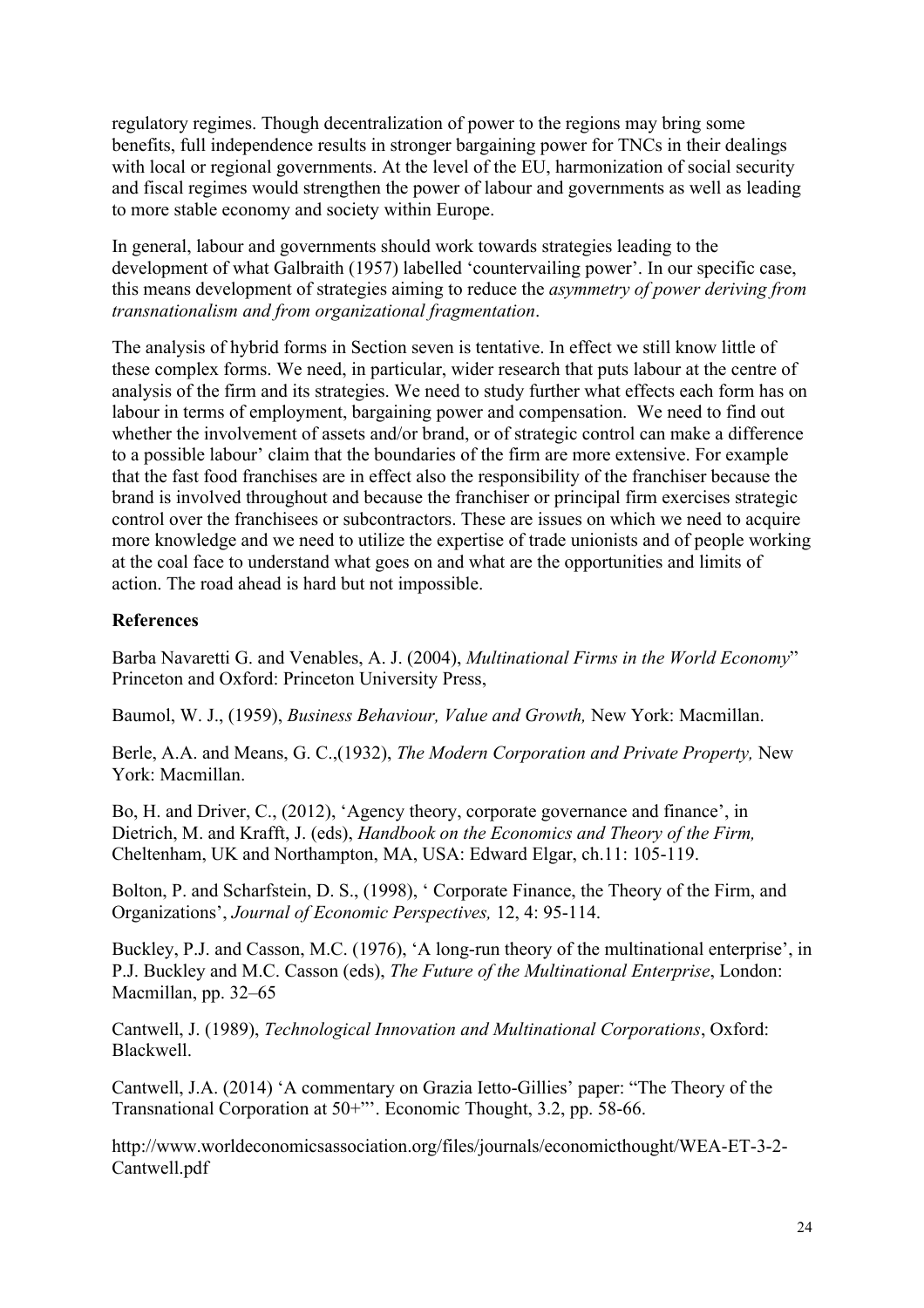regulatory regimes. Though decentralization of power to the regions may bring some benefits, full independence results in stronger bargaining power for TNCs in their dealings with local or regional governments. At the level of the EU, harmonization of social security and fiscal regimes would strengthen the power of labour and governments as well as leading to more stable economy and society within Europe.

In general, labour and governments should work towards strategies leading to the development of what Galbraith (1957) labelled 'countervailing power'. In our specific case, this means development of strategies aiming to reduce the *asymmetry of power deriving from transnationalism and from organizational fragmentation*.

The analysis of hybrid forms in Section seven is tentative. In effect we still know little of these complex forms. We need, in particular, wider research that puts labour at the centre of analysis of the firm and its strategies. We need to study further what effects each form has on labour in terms of employment, bargaining power and compensation. We need to find out whether the involvement of assets and/or brand, or of strategic control can make a difference to a possible labour' claim that the boundaries of the firm are more extensive. For example that the fast food franchises are in effect also the responsibility of the franchiser because the brand is involved throughout and because the franchiser or principal firm exercises strategic control over the franchisees or subcontractors. These are issues on which we need to acquire more knowledge and we need to utilize the expertise of trade unionists and of people working at the coal face to understand what goes on and what are the opportunities and limits of action. The road ahead is hard but not impossible.

### **References**

Barba Navaretti G. and Venables, A. J. (2004), *Multinational Firms in the World Economy*" Princeton and Oxford: Princeton University Press,

Baumol, W. J., (1959), *Business Behaviour, Value and Growth,* New York: Macmillan.

Berle, A.A. and Means, G. C.,(1932), *The Modern Corporation and Private Property,* New York: Macmillan.

Bo, H. and Driver, C., (2012), 'Agency theory, corporate governance and finance', in Dietrich, M. and Krafft, J. (eds), *Handbook on the Economics and Theory of the Firm,* Cheltenham, UK and Northampton, MA, USA: Edward Elgar, ch.11: 105-119.

Bolton, P. and Scharfstein, D. S., (1998), ' Corporate Finance, the Theory of the Firm, and Organizations', *Journal of Economic Perspectives,* 12, 4: 95-114.

Buckley, P.J. and Casson, M.C. (1976), 'A long-run theory of the multinational enterprise', in P.J. Buckley and M.C. Casson (eds), *The Future of the Multinational Enterprise*, London: Macmillan, pp. 32–65

Cantwell, J. (1989), *Technological Innovation and Multinational Corporations*, Oxford: Blackwell.

Cantwell, J.A. (2014) 'A commentary on Grazia Ietto-Gillies' paper: "The Theory of the Transnational Corporation at 50+"'. Economic Thought, 3.2, pp. 58-66.

http://www.worldeconomicsassociation.org/files/journals/economicthought/WEA-ET-3-2- Cantwell.pdf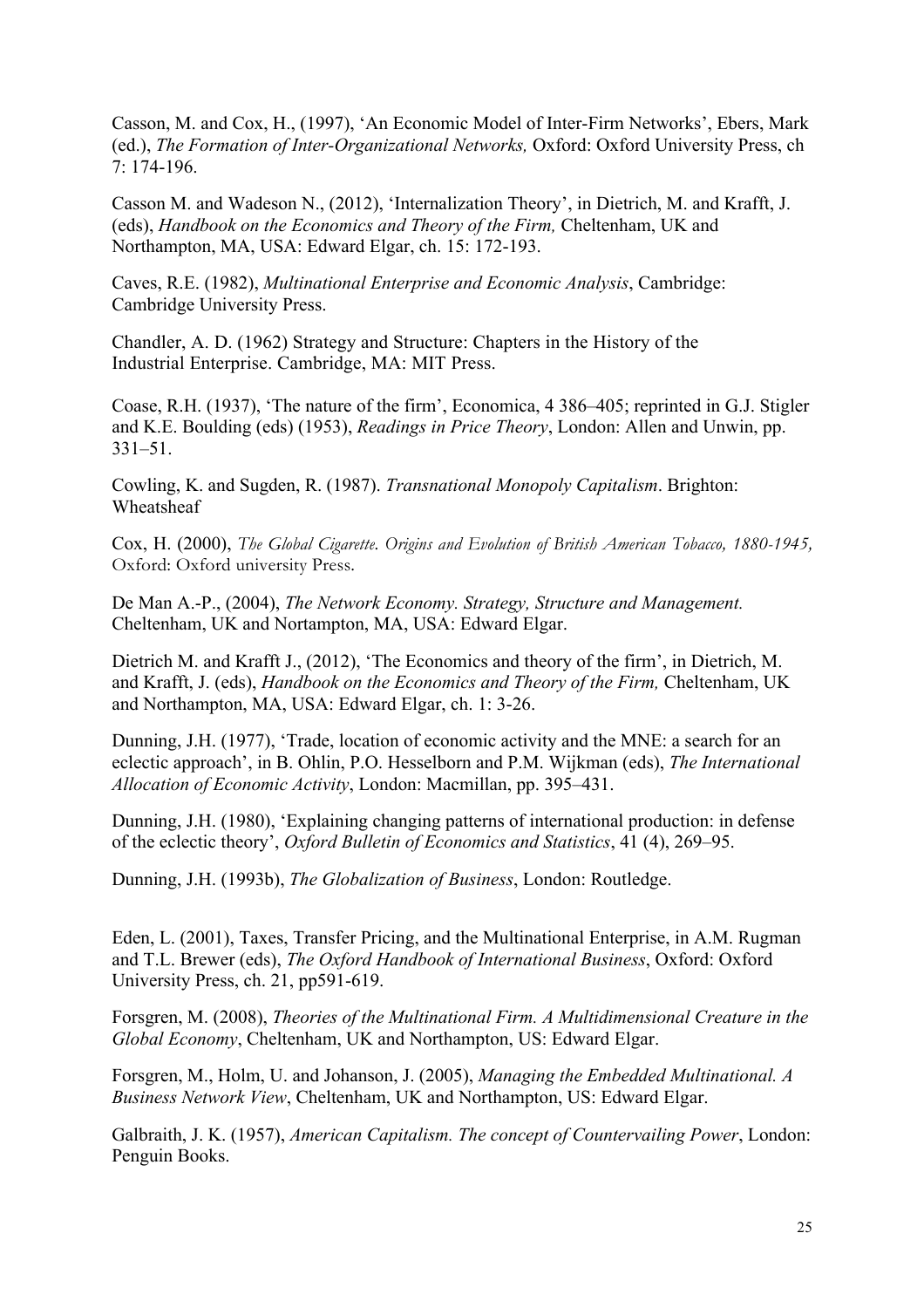Casson, M. and Cox, H., (1997), 'An Economic Model of Inter-Firm Networks', Ebers, Mark (ed.), *The Formation of Inter-Organizational Networks,* Oxford: Oxford University Press, ch 7: 174-196.

Casson M. and Wadeson N., (2012), 'Internalization Theory', in Dietrich, M. and Krafft, J. (eds), *Handbook on the Economics and Theory of the Firm,* Cheltenham, UK and Northampton, MA, USA: Edward Elgar, ch. 15: 172-193.

Caves, R.E. (1982), *Multinational Enterprise and Economic Analysis*, Cambridge: Cambridge University Press.

Chandler, A. D. (1962) Strategy and Structure: Chapters in the History of the Industrial Enterprise. Cambridge, MA: MIT Press.

Coase, R.H. (1937), 'The nature of the firm', Economica, 4 386–405; reprinted in G.J. Stigler and K.E. Boulding (eds) (1953), *Readings in Price Theory*, London: Allen and Unwin, pp. 331–51.

Cowling, K. and Sugden, R. (1987). *Transnational Monopoly Capitalism*. Brighton: Wheatsheaf

Cox, H. (2000), *The Global Cigarette*. *Origins and Evolution of British American Tobacco, 1880-1945,* Oxford: Oxford university Press.

De Man A.-P., (2004), *The Network Economy. Strategy, Structure and Management.* Cheltenham, UK and Nortampton, MA, USA: Edward Elgar.

Dietrich M. and Krafft J., (2012), 'The Economics and theory of the firm', in Dietrich, M. and Krafft, J. (eds), *Handbook on the Economics and Theory of the Firm,* Cheltenham, UK and Northampton, MA, USA: Edward Elgar, ch. 1: 3-26.

Dunning, J.H. (1977), 'Trade, location of economic activity and the MNE: a search for an eclectic approach', in B. Ohlin, P.O. Hesselborn and P.M. Wijkman (eds), *The International Allocation of Economic Activity*, London: Macmillan, pp. 395–431.

Dunning, J.H. (1980), 'Explaining changing patterns of international production: in defense of the eclectic theory', *Oxford Bulletin of Economics and Statistics*, 41 (4), 269–95.

Dunning, J.H. (1993b), *The Globalization of Business*, London: Routledge.

Eden, L. (2001), Taxes, Transfer Pricing, and the Multinational Enterprise, in A.M. Rugman and T.L. Brewer (eds), *The Oxford Handbook of International Business*, Oxford: Oxford University Press, ch. 21, pp591-619.

Forsgren, M. (2008), *Theories of the Multinational Firm. A Multidimensional Creature in the Global Economy*, Cheltenham, UK and Northampton, US: Edward Elgar.

Forsgren, M., Holm, U. and Johanson, J. (2005), *Managing the Embedded Multinational. A Business Network View*, Cheltenham, UK and Northampton, US: Edward Elgar.

Galbraith, J. K. (1957), *American Capitalism. The concept of Countervailing Power*, London: Penguin Books.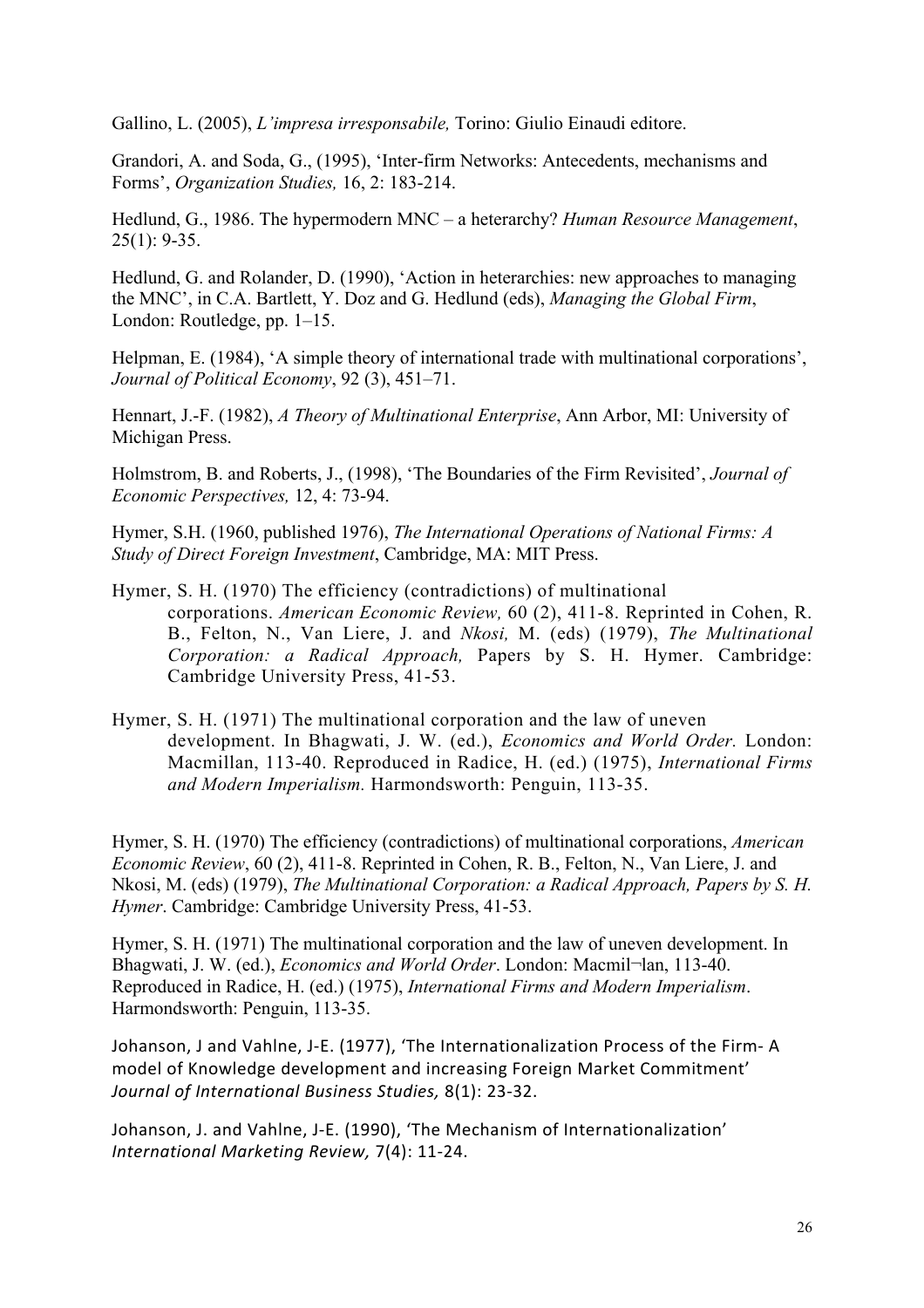Gallino, L. (2005), *L'impresa irresponsabile,* Torino: Giulio Einaudi editore.

Grandori, A. and Soda, G., (1995), 'Inter-firm Networks: Antecedents, mechanisms and Forms', *Organization Studies,* 16, 2: 183-214.

Hedlund, G., 1986. The hypermodern MNC – a heterarchy? *Human Resource Management*, 25(1): 9-35.

Hedlund, G. and Rolander, D. (1990), 'Action in heterarchies: new approaches to managing the MNC', in C.A. Bartlett, Y. Doz and G. Hedlund (eds), *Managing the Global Firm*, London: Routledge, pp. 1–15.

Helpman, E. (1984), 'A simple theory of international trade with multinational corporations', *Journal of Political Economy*, 92 (3), 451–71.

Hennart, J.-F. (1982), *A Theory of Multinational Enterprise*, Ann Arbor, MI: University of Michigan Press.

Holmstrom, B. and Roberts, J., (1998), 'The Boundaries of the Firm Revisited', *Journal of Economic Perspectives,* 12, 4: 73-94.

Hymer, S.H. (1960, published 1976), *The International Operations of National Firms: A Study of Direct Foreign Investment*, Cambridge, MA: MIT Press.

- Hymer, S. H. (1970) The efficiency (contradictions) of multinational corporations. *American Economic Review,* 60 (2), 411-8. Reprinted in Cohen, R. B., Felton, N., Van Liere, J. and *Nkosi,* M. (eds) (1979), *The Multinational Corporation: a Radical Approach,* Papers by S. H. Hymer. Cambridge: Cambridge University Press, 41-53.
- Hymer, S. H. (1971) The multinational corporation and the law of uneven development. In Bhagwati, J. W. (ed.), *Economics and World Order.* London: Macmillan, 113-40. Reproduced in Radice, H. (ed.) (1975), *International Firms and Modern Imperialism.* Harmondsworth: Penguin, 113-35.

Hymer, S. H. (1970) The efficiency (contradictions) of multinational corporations, *American Economic Review*, 60 (2), 411-8. Reprinted in Cohen, R. B., Felton, N., Van Liere, J. and Nkosi, M. (eds) (1979), *The Multinational Corporation: a Radical Approach, Papers by S. H. Hymer*. Cambridge: Cambridge University Press, 41-53.

Hymer, S. H. (1971) The multinational corporation and the law of uneven development. In Bhagwati, J. W. (ed.), *Economics and World Order*. London: Macmil¬lan, 113-40. Reproduced in Radice, H. (ed.) (1975), *International Firms and Modern Imperialism*. Harmondsworth: Penguin, 113-35.

Johanson, J and Vahlne, J-E. (1977), 'The Internationalization Process of the Firm- A model of Knowledge development and increasing Foreign Market Commitment' Journal of International Business Studies, 8(1): 23-32.

Johanson, J. and Vahlne, J-E. (1990), 'The Mechanism of Internationalization' *International Marketing Review,* 7(4): 11-24.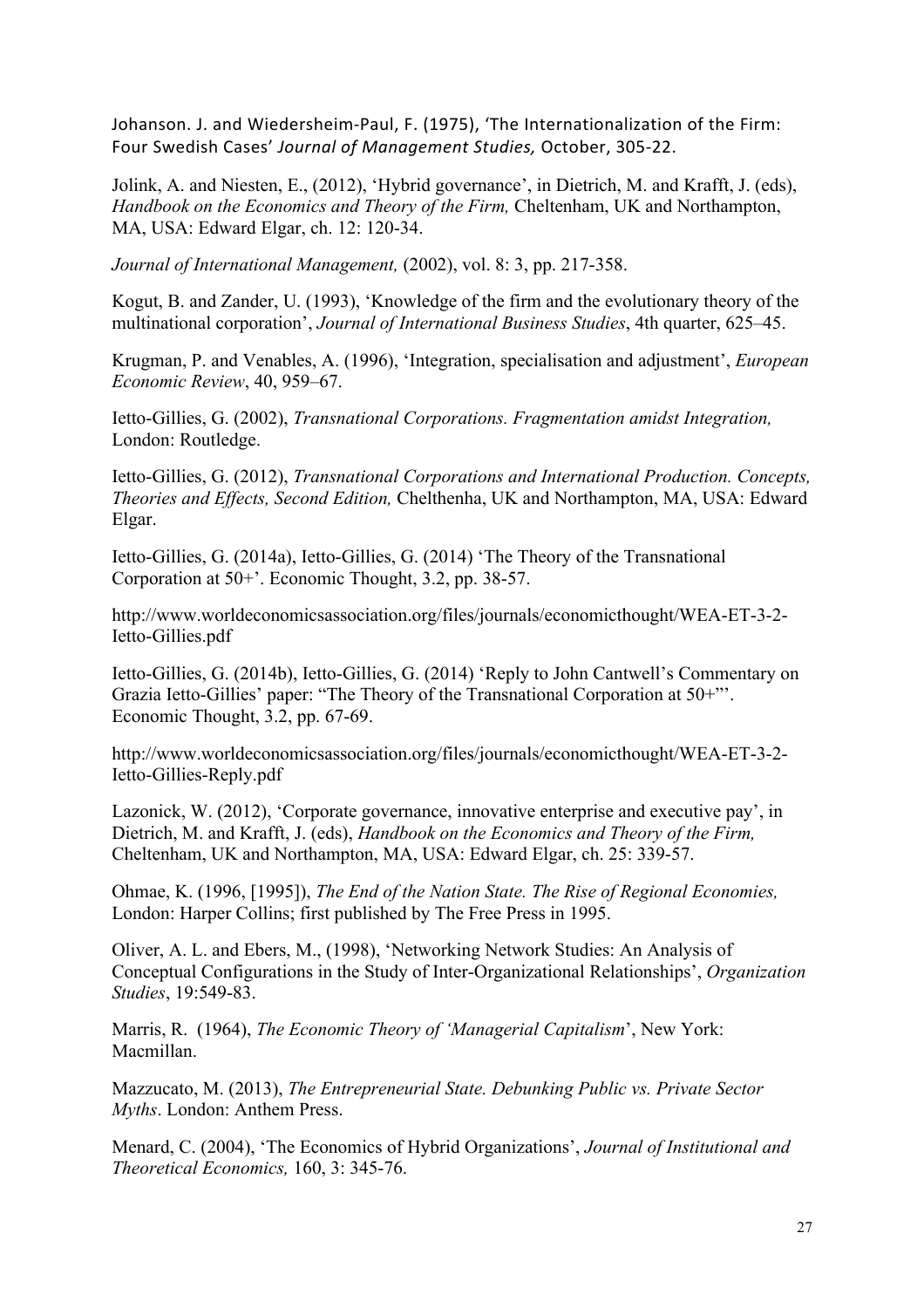Johanson. J. and Wiedersheim-Paul, F. (1975), 'The Internationalization of the Firm: Four Swedish Cases' Journal of Management Studies, October, 305-22.

Jolink, A. and Niesten, E., (2012), 'Hybrid governance', in Dietrich, M. and Krafft, J. (eds), *Handbook on the Economics and Theory of the Firm,* Cheltenham, UK and Northampton, MA, USA: Edward Elgar, ch. 12: 120-34.

*Journal of International Management,* (2002), vol. 8: 3, pp. 217-358.

Kogut, B. and Zander, U. (1993), 'Knowledge of the firm and the evolutionary theory of the multinational corporation', *Journal of International Business Studies*, 4th quarter, 625–45.

Krugman, P. and Venables, A. (1996), 'Integration, specialisation and adjustment', *European Economic Review*, 40, 959–67.

Ietto-Gillies, G. (2002), *Transnational Corporations. Fragmentation amidst Integration,*  London: Routledge.

Ietto-Gillies, G. (2012), *Transnational Corporations and International Production. Concepts, Theories and Effects, Second Edition,* Chelthenha, UK and Northampton, MA, USA: Edward Elgar.

Ietto-Gillies, G. (2014a), Ietto-Gillies, G. (2014) 'The Theory of the Transnational Corporation at 50+'. Economic Thought, 3.2, pp. 38-57.

http://www.worldeconomicsassociation.org/files/journals/economicthought/WEA-ET-3-2- Ietto-Gillies.pdf

Ietto-Gillies, G. (2014b), Ietto-Gillies, G. (2014) 'Reply to John Cantwell's Commentary on Grazia Ietto-Gillies' paper: "The Theory of the Transnational Corporation at 50+"'. Economic Thought, 3.2, pp. 67-69.

http://www.worldeconomicsassociation.org/files/journals/economicthought/WEA-ET-3-2- Ietto-Gillies-Reply.pdf

Lazonick, W. (2012), 'Corporate governance, innovative enterprise and executive pay', in Dietrich, M. and Krafft, J. (eds), *Handbook on the Economics and Theory of the Firm,* Cheltenham, UK and Northampton, MA, USA: Edward Elgar, ch. 25: 339-57.

Ohmae, K. (1996, [1995]), *The End of the Nation State. The Rise of Regional Economies,* London: Harper Collins; first published by The Free Press in 1995.

Oliver, A. L. and Ebers, M., (1998), 'Networking Network Studies: An Analysis of Conceptual Configurations in the Study of Inter-Organizational Relationships', *Organization Studies*, 19:549-83.

Marris, R. (1964), *The Economic Theory of 'Managerial Capitalism*', New York: Macmillan.

Mazzucato, M. (2013), *The Entrepreneurial State. Debunking Public vs. Private Sector Myths*. London: Anthem Press.

Menard, C. (2004), 'The Economics of Hybrid Organizations', *Journal of Institutional and Theoretical Economics,* 160, 3: 345-76.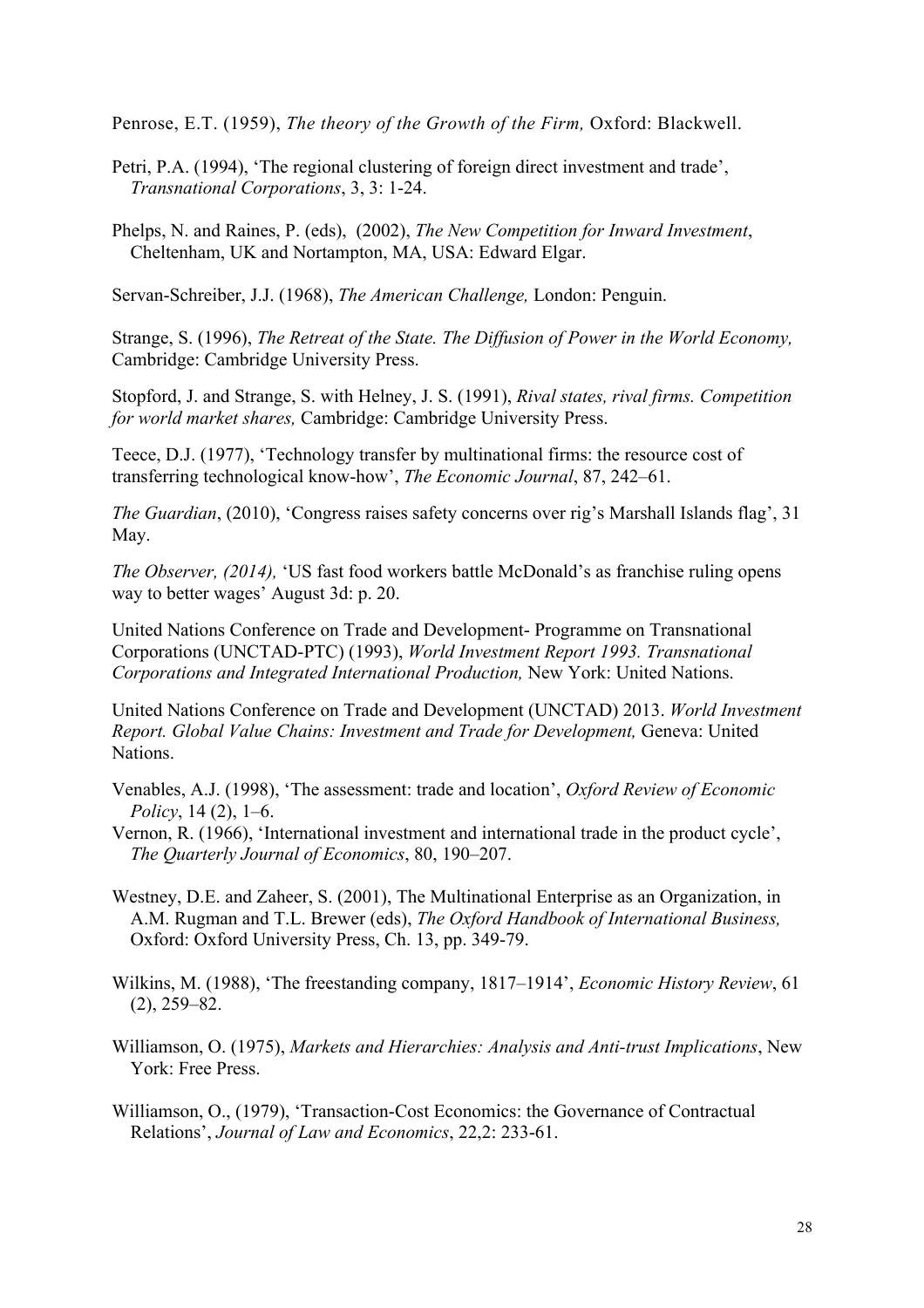Penrose, E.T. (1959), *The theory of the Growth of the Firm,* Oxford: Blackwell.

Petri, P.A. (1994), 'The regional clustering of foreign direct investment and trade', *Transnational Corporations*, 3, 3: 1-24.

Phelps, N. and Raines, P. (eds), (2002), *The New Competition for Inward Investment*, Cheltenham, UK and Nortampton, MA, USA: Edward Elgar.

Servan-Schreiber, J.J. (1968), *The American Challenge,* London: Penguin.

Strange, S. (1996), *The Retreat of the State. The Diffusion of Power in the World Economy,*  Cambridge: Cambridge University Press.

Stopford, J. and Strange, S. with Helney, J. S. (1991), *Rival states, rival firms. Competition for world market shares,* Cambridge: Cambridge University Press.

Teece, D.J. (1977), 'Technology transfer by multinational firms: the resource cost of transferring technological know-how', *The Economic Journal*, 87, 242–61.

*The Guardian*, (2010), 'Congress raises safety concerns over rig's Marshall Islands flag', 31 May.

*The Observer, (2014), 'US fast food workers battle McDonald's as franchise ruling opens* way to better wages' August 3d: p. 20.

United Nations Conference on Trade and Development- Programme on Transnational Corporations (UNCTAD-PTC) (1993), *World Investment Report 1993. Transnational Corporations and Integrated International Production,* New York: United Nations.

United Nations Conference on Trade and Development (UNCTAD) 2013. *World Investment Report. Global Value Chains: Investment and Trade for Development,* Geneva: United Nations.

Venables, A.J. (1998), 'The assessment: trade and location', *Oxford Review of Economic Policy*, 14 (2), 1–6.

Vernon, R. (1966), 'International investment and international trade in the product cycle', *The Quarterly Journal of Economics*, 80, 190–207.

Westney, D.E. and Zaheer, S. (2001), The Multinational Enterprise as an Organization, in A.M. Rugman and T.L. Brewer (eds), *The Oxford Handbook of International Business,*  Oxford: Oxford University Press, Ch. 13, pp. 349-79.

Wilkins, M. (1988), 'The freestanding company, 1817–1914', *Economic History Review*, 61 (2), 259–82.

Williamson, O. (1975), *Markets and Hierarchies: Analysis and Anti-trust Implications*, New York: Free Press.

Williamson, O., (1979), 'Transaction-Cost Economics: the Governance of Contractual Relations', *Journal of Law and Economics*, 22,2: 233-61.